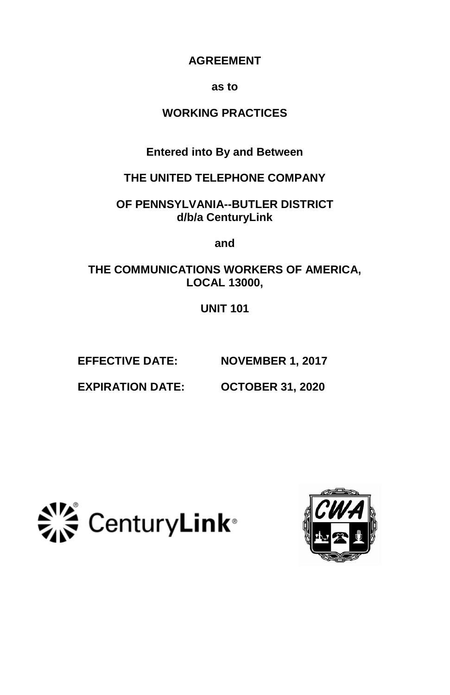# **AGREEMENT**

#### **as to**

# **WORKING PRACTICES**

**Entered into By and Between**

**THE UNITED TELEPHONE COMPANY**

**OF PENNSYLVANIA--BUTLER DISTRICT d/b/a CenturyLink**

**and**

**THE COMMUNICATIONS WORKERS OF AMERICA, LOCAL 13000,**

**UNIT 101**

**EFFECTIVE DATE: NOVEMBER 1, 2017**

**EXPIRATION DATE: OCTOBER 31, 2020**



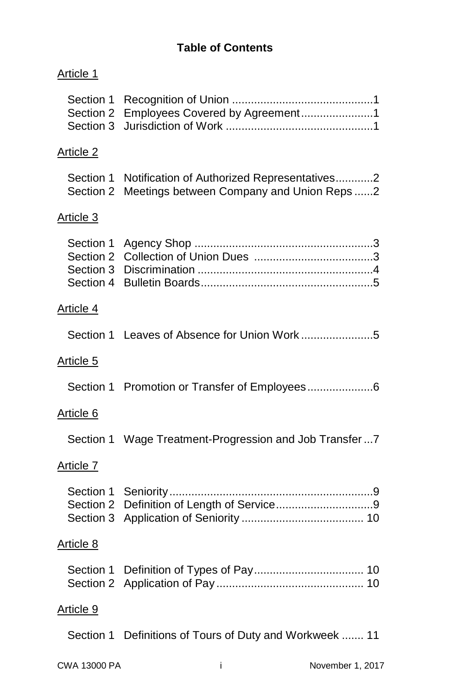| Article 1                                        |                                                                                         |
|--------------------------------------------------|-----------------------------------------------------------------------------------------|
| Section 1<br>Section 2<br>Section 3              | Employees Covered by Agreement1                                                         |
| Article 2                                        |                                                                                         |
| Section 1<br>Section 2                           | Notification of Authorized Representatives2<br>Meetings between Company and Union Reps2 |
| Article 3                                        |                                                                                         |
| Section 1<br>Section 2<br>Section 3<br>Section 4 |                                                                                         |
| Article 4                                        |                                                                                         |
|                                                  |                                                                                         |
| Article 5                                        |                                                                                         |
|                                                  |                                                                                         |
| Article 6                                        |                                                                                         |
|                                                  | Section 1 Wage Treatment-Progression and Job Transfer7                                  |
| Article 7                                        |                                                                                         |
| Section 1<br>Section 3                           |                                                                                         |
| Article 8                                        |                                                                                         |
| Section 1                                        |                                                                                         |
| Article 9                                        |                                                                                         |
|                                                  | Section 1 Definitions of Tours of Duty and Workweek  11                                 |
| CWA 13000 PA                                     | November 1, 2017<br>i                                                                   |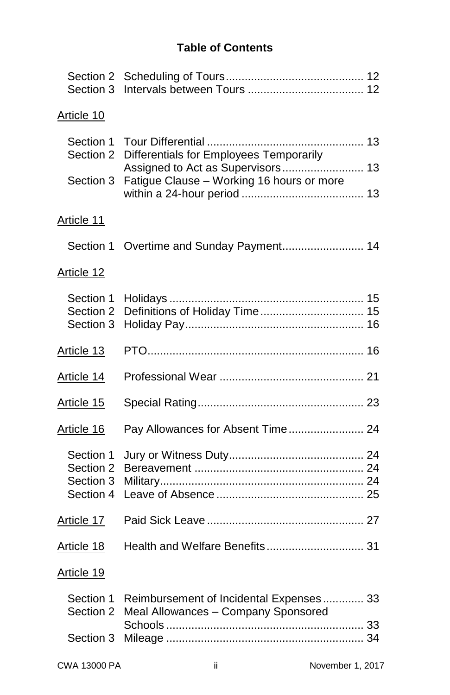| Section 2<br>Section 3                           |                                                                                |  |
|--------------------------------------------------|--------------------------------------------------------------------------------|--|
| Article 10                                       |                                                                                |  |
| Section 1<br>Section 2                           | Differentials for Employees Temporarily                                        |  |
| Section 3                                        | Assigned to Act as Supervisors 13<br>Fatigue Clause - Working 16 hours or more |  |
| Article 11                                       |                                                                                |  |
| Section 1                                        | Overtime and Sunday Payment 14                                                 |  |
| Article 12                                       |                                                                                |  |
| Section 1<br>Section 2<br>Section 3              | Definitions of Holiday Time 15                                                 |  |
| Article 13                                       |                                                                                |  |
| Article 14                                       |                                                                                |  |
| Article 15                                       |                                                                                |  |
| Article 16                                       | Pay Allowances for Absent Time 24                                              |  |
| Section 1<br>Section 2<br>Section 3<br>Section 4 |                                                                                |  |
| Article 17                                       |                                                                                |  |
| Article 18                                       | Health and Welfare Benefits 31                                                 |  |
| Article 19                                       |                                                                                |  |
| Section 1<br>Section 2                           | Reimbursement of Incidental Expenses 33<br>Meal Allowances - Company Sponsored |  |
| Section 3                                        |                                                                                |  |
|                                                  |                                                                                |  |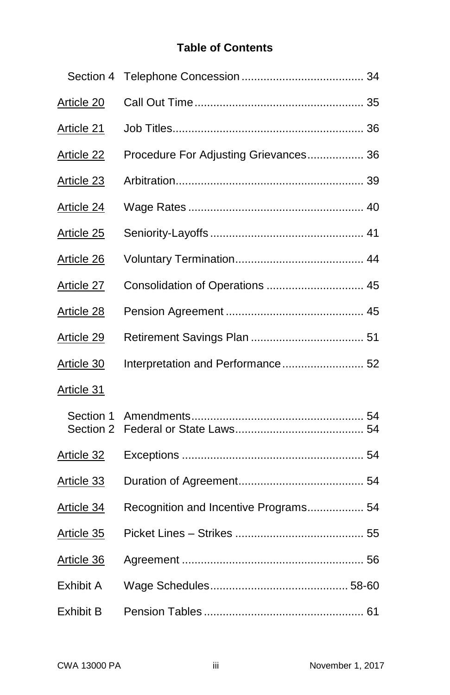| Section 4              |                                       |
|------------------------|---------------------------------------|
| Article 20             |                                       |
| Article 21             |                                       |
| Article 22             | Procedure For Adjusting Grievances 36 |
| Article 23             |                                       |
| Article 24             |                                       |
| Article 25             |                                       |
| Article 26             |                                       |
| Article 27             | Consolidation of Operations  45       |
| Article 28             |                                       |
| Article 29             |                                       |
| Article 30             | Interpretation and Performance 52     |
| Article 31             |                                       |
| Section 1<br>Section 2 |                                       |
| Article 32             |                                       |
| Article 33             |                                       |
| Article 34             | Recognition and Incentive Programs 54 |
| Article 35             |                                       |
| Article 36             |                                       |
| Exhibit A              |                                       |
| Exhibit B              |                                       |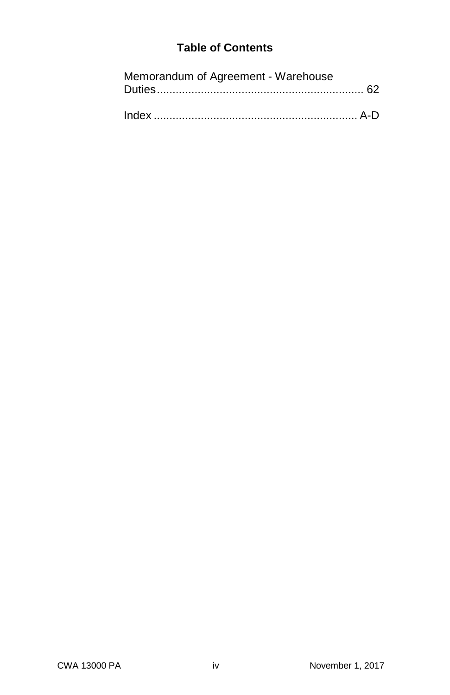|  | Memorandum of Agreement - Warehouse |  |
|--|-------------------------------------|--|
|--|-------------------------------------|--|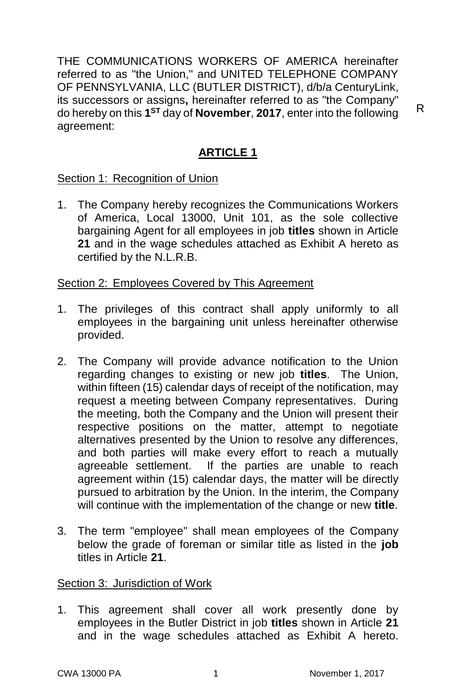THE COMMUNICATIONS WORKERS OF AMERICA hereinafter referred to as "the Union," and UNITED TELEPHONE COMPANY OF PENNSYLVANIA, LLC (BUTLER DISTRICT), d/b/a CenturyLink, its successors or assigns**,** hereinafter referred to as "the Company" do hereby on this **1 ST** day of **November**, **2017**, enter into the following agreement:

# **ARTICLE 1**

Section 1: Recognition of Union

1. The Company hereby recognizes the Communications Workers of America, Local 13000, Unit 101, as the sole collective bargaining Agent for all employees in job **titles** shown in Article **21** and in the wage schedules attached as Exhibit A hereto as certified by the N.L.R.B.

Section 2: Employees Covered by This Agreement

- 1. The privileges of this contract shall apply uniformly to all employees in the bargaining unit unless hereinafter otherwise provided.
- 2. The Company will provide advance notification to the Union regarding changes to existing or new job **titles**. The Union, within fifteen (15) calendar days of receipt of the notification, may request a meeting between Company representatives. During the meeting, both the Company and the Union will present their respective positions on the matter, attempt to negotiate alternatives presented by the Union to resolve any differences, and both parties will make every effort to reach a mutually agreeable settlement. If the parties are unable to reach agreement within (15) calendar days, the matter will be directly pursued to arbitration by the Union. In the interim, the Company will continue with the implementation of the change or new **title**.
- 3. The term "employee" shall mean employees of the Company below the grade of foreman or similar title as listed in the **job** titles in Article **21**.

# Section 3: Jurisdiction of Work

1. This agreement shall cover all work presently done by employees in the Butler District in job **titles** shown in Article **21** and in the wage schedules attached as Exhibit A hereto.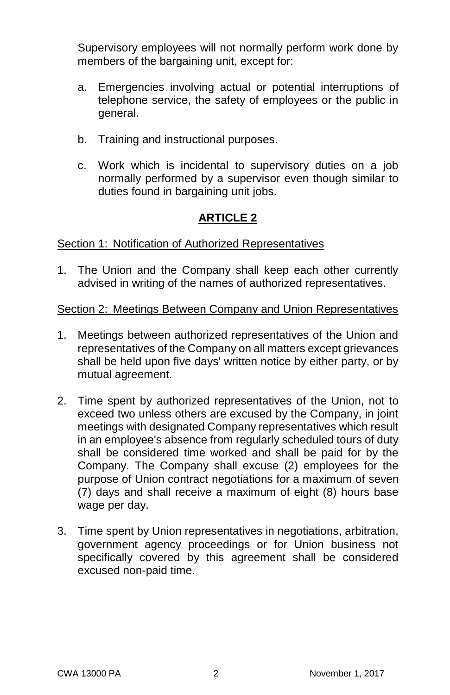Supervisory employees will not normally perform work done by members of the bargaining unit, except for:

- a. Emergencies involving actual or potential interruptions of telephone service, the safety of employees or the public in general.
- b. Training and instructional purposes.
- c. Work which is incidental to supervisory duties on a job normally performed by a supervisor even though similar to duties found in bargaining unit jobs.

# **ARTICLE 2**

Section 1: Notification of Authorized Representatives

1. The Union and the Company shall keep each other currently advised in writing of the names of authorized representatives.

# Section 2: Meetings Between Company and Union Representatives

- 1. Meetings between authorized representatives of the Union and representatives of the Company on all matters except grievances shall be held upon five days' written notice by either party, or by mutual agreement.
- 2. Time spent by authorized representatives of the Union, not to exceed two unless others are excused by the Company, in joint meetings with designated Company representatives which result in an employee's absence from regularly scheduled tours of duty shall be considered time worked and shall be paid for by the Company. The Company shall excuse (2) employees for the purpose of Union contract negotiations for a maximum of seven (7) days and shall receive a maximum of eight (8) hours base wage per day.
- 3. Time spent by Union representatives in negotiations, arbitration, government agency proceedings or for Union business not specifically covered by this agreement shall be considered excused non-paid time.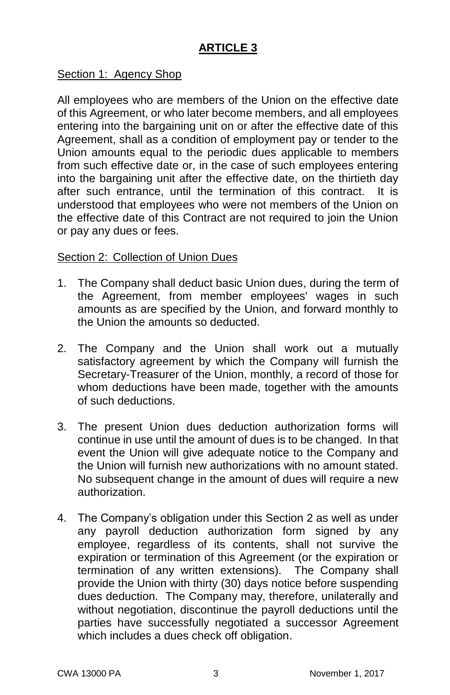# **ARTICLE 3**

### Section 1: Agency Shop

All employees who are members of the Union on the effective date of this Agreement, or who later become members, and all employees entering into the bargaining unit on or after the effective date of this Agreement, shall as a condition of employment pay or tender to the Union amounts equal to the periodic dues applicable to members from such effective date or, in the case of such employees entering into the bargaining unit after the effective date, on the thirtieth day after such entrance, until the termination of this contract. It is understood that employees who were not members of the Union on the effective date of this Contract are not required to join the Union or pay any dues or fees.

### Section 2: Collection of Union Dues

- 1. The Company shall deduct basic Union dues, during the term of the Agreement, from member employees' wages in such amounts as are specified by the Union, and forward monthly to the Union the amounts so deducted.
- 2. The Company and the Union shall work out a mutually satisfactory agreement by which the Company will furnish the Secretary-Treasurer of the Union, monthly, a record of those for whom deductions have been made, together with the amounts of such deductions.
- 3. The present Union dues deduction authorization forms will continue in use until the amount of dues is to be changed. In that event the Union will give adequate notice to the Company and the Union will furnish new authorizations with no amount stated. No subsequent change in the amount of dues will require a new authorization.
- 4. The Company's obligation under this Section 2 as well as under any payroll deduction authorization form signed by any employee, regardless of its contents, shall not survive the expiration or termination of this Agreement (or the expiration or termination of any written extensions). The Company shall provide the Union with thirty (30) days notice before suspending dues deduction. The Company may, therefore, unilaterally and without negotiation, discontinue the payroll deductions until the parties have successfully negotiated a successor Agreement which includes a dues check off obligation.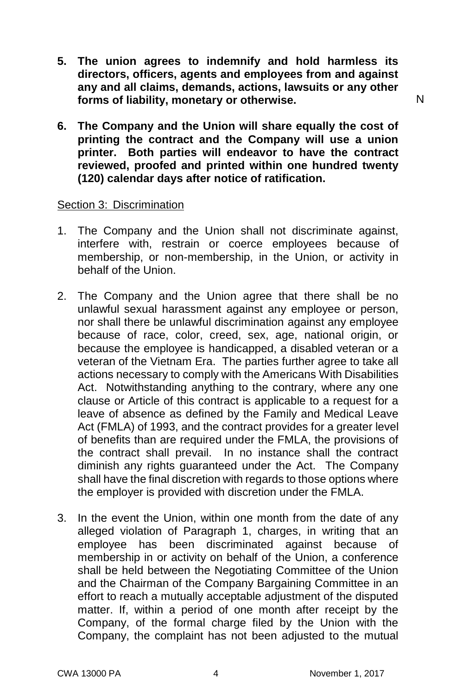- **5. The union agrees to indemnify and hold harmless its directors, officers, agents and employees from and against any and all claims, demands, actions, lawsuits or any other forms of liability, monetary or otherwise.**
- **6. The Company and the Union will share equally the cost of printing the contract and the Company will use a union printer. Both parties will endeavor to have the contract reviewed, proofed and printed within one hundred twenty (120) calendar days after notice of ratification.**

#### Section 3: Discrimination

- 1. The Company and the Union shall not discriminate against, interfere with, restrain or coerce employees because of membership, or non-membership, in the Union, or activity in behalf of the Union.
- 2. The Company and the Union agree that there shall be no unlawful sexual harassment against any employee or person, nor shall there be unlawful discrimination against any employee because of race, color, creed, sex, age, national origin, or because the employee is handicapped, a disabled veteran or a veteran of the Vietnam Era. The parties further agree to take all actions necessary to comply with the Americans With Disabilities Act. Notwithstanding anything to the contrary, where any one clause or Article of this contract is applicable to a request for a leave of absence as defined by the Family and Medical Leave Act (FMLA) of 1993, and the contract provides for a greater level of benefits than are required under the FMLA, the provisions of the contract shall prevail. In no instance shall the contract diminish any rights guaranteed under the Act. The Company shall have the final discretion with regards to those options where the employer is provided with discretion under the FMLA.
- 3. In the event the Union, within one month from the date of any alleged violation of Paragraph 1, charges, in writing that an employee has been discriminated against because of membership in or activity on behalf of the Union, a conference shall be held between the Negotiating Committee of the Union and the Chairman of the Company Bargaining Committee in an effort to reach a mutually acceptable adjustment of the disputed matter. If, within a period of one month after receipt by the Company, of the formal charge filed by the Union with the Company, the complaint has not been adjusted to the mutual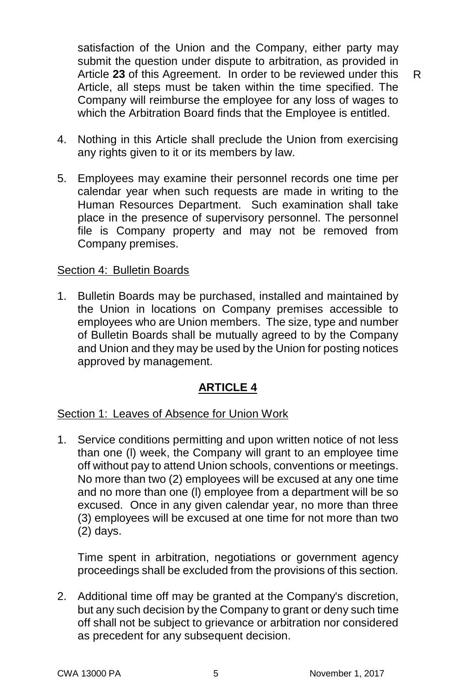satisfaction of the Union and the Company, either party may submit the question under dispute to arbitration, as provided in Article **23** of this Agreement. In order to be reviewed under this Article, all steps must be taken within the time specified. The Company will reimburse the employee for any loss of wages to which the Arbitration Board finds that the Employee is entitled.

- 4. Nothing in this Article shall preclude the Union from exercising any rights given to it or its members by law.
- 5. Employees may examine their personnel records one time per calendar year when such requests are made in writing to the Human Resources Department. Such examination shall take place in the presence of supervisory personnel. The personnel file is Company property and may not be removed from Company premises.

#### Section 4: Bulletin Boards

1. Bulletin Boards may be purchased, installed and maintained by the Union in locations on Company premises accessible to employees who are Union members. The size, type and number of Bulletin Boards shall be mutually agreed to by the Company and Union and they may be used by the Union for posting notices approved by management.

#### **ARTICLE 4**

#### Section 1: Leaves of Absence for Union Work

1. Service conditions permitting and upon written notice of not less than one (l) week, the Company will grant to an employee time off without pay to attend Union schools, conventions or meetings. No more than two (2) employees will be excused at any one time and no more than one (l) employee from a department will be so excused. Once in any given calendar year, no more than three (3) employees will be excused at one time for not more than two (2) days.

Time spent in arbitration, negotiations or government agency proceedings shall be excluded from the provisions of this section.

2. Additional time off may be granted at the Company's discretion, but any such decision by the Company to grant or deny such time off shall not be subject to grievance or arbitration nor considered as precedent for any subsequent decision.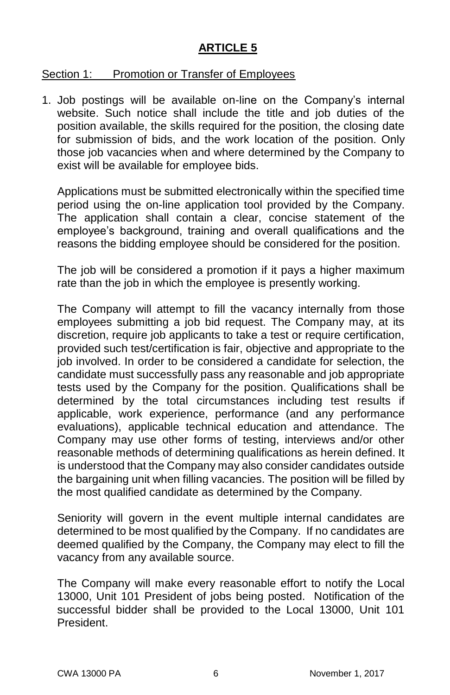# **ARTICLE 5**

### Section 1: Promotion or Transfer of Employees

1. Job postings will be available on-line on the Company's internal website. Such notice shall include the title and job duties of the position available, the skills required for the position, the closing date for submission of bids, and the work location of the position. Only those job vacancies when and where determined by the Company to exist will be available for employee bids.

Applications must be submitted electronically within the specified time period using the on-line application tool provided by the Company. The application shall contain a clear, concise statement of the employee's background, training and overall qualifications and the reasons the bidding employee should be considered for the position.

The job will be considered a promotion if it pays a higher maximum rate than the job in which the employee is presently working.

The Company will attempt to fill the vacancy internally from those employees submitting a job bid request. The Company may, at its discretion, require job applicants to take a test or require certification, provided such test/certification is fair, objective and appropriate to the job involved. In order to be considered a candidate for selection, the candidate must successfully pass any reasonable and job appropriate tests used by the Company for the position. Qualifications shall be determined by the total circumstances including test results if applicable, work experience, performance (and any performance evaluations), applicable technical education and attendance. The Company may use other forms of testing, interviews and/or other reasonable methods of determining qualifications as herein defined. It is understood that the Company may also consider candidates outside the bargaining unit when filling vacancies. The position will be filled by the most qualified candidate as determined by the Company.

Seniority will govern in the event multiple internal candidates are determined to be most qualified by the Company. If no candidates are deemed qualified by the Company, the Company may elect to fill the vacancy from any available source.

The Company will make every reasonable effort to notify the Local 13000, Unit 101 President of jobs being posted. Notification of the successful bidder shall be provided to the Local 13000, Unit 101 President.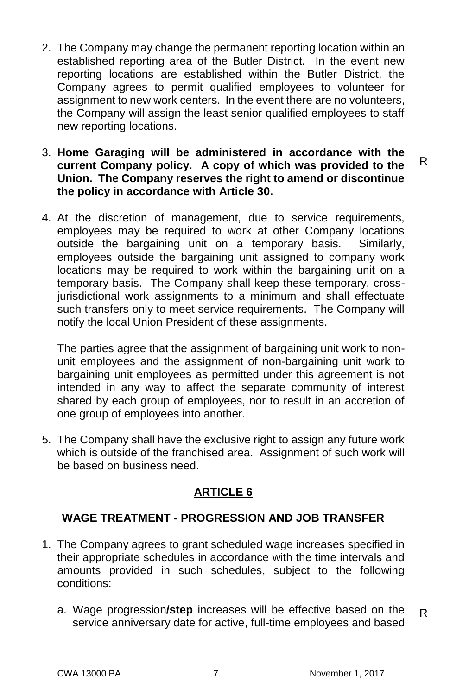- 2. The Company may change the permanent reporting location within an established reporting area of the Butler District. In the event new reporting locations are established within the Butler District, the Company agrees to permit qualified employees to volunteer for assignment to new work centers. In the event there are no volunteers, the Company will assign the least senior qualified employees to staff new reporting locations.
- 3. **Home Garaging will be administered in accordance with the current Company policy. A copy of which was provided to the Union. The Company reserves the right to amend or discontinue the policy in accordance with Article 30.**
- 4. At the discretion of management, due to service requirements, employees may be required to work at other Company locations outside the bargaining unit on a temporary basis. Similarly, employees outside the bargaining unit assigned to company work locations may be required to work within the bargaining unit on a temporary basis. The Company shall keep these temporary, crossjurisdictional work assignments to a minimum and shall effectuate such transfers only to meet service requirements. The Company will notify the local Union President of these assignments.

The parties agree that the assignment of bargaining unit work to nonunit employees and the assignment of non-bargaining unit work to bargaining unit employees as permitted under this agreement is not intended in any way to affect the separate community of interest shared by each group of employees, nor to result in an accretion of one group of employees into another.

5. The Company shall have the exclusive right to assign any future work which is outside of the franchised area. Assignment of such work will be based on business need.

# **ARTICLE 6**

# **WAGE TREATMENT - PROGRESSION AND JOB TRANSFER**

- 1. The Company agrees to grant scheduled wage increases specified in their appropriate schedules in accordance with the time intervals and amounts provided in such schedules, subject to the following conditions:
	- a. Wage progression**/step** increases will be effective based on the service anniversary date for active, full-time employees and based R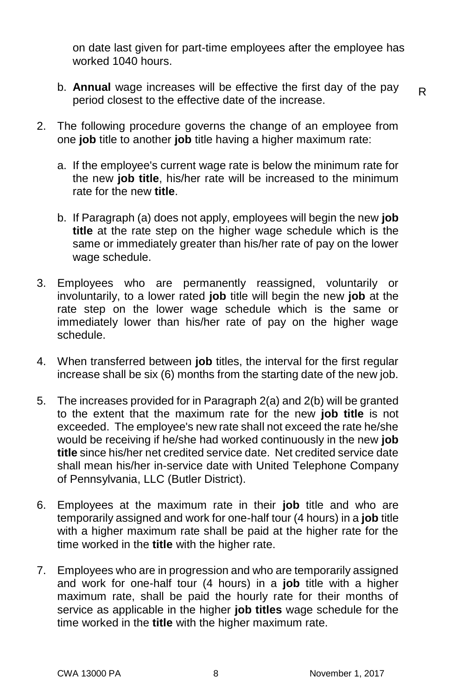on date last given for part-time employees after the employee has worked 1040 hours.

b. **Annual** wage increases will be effective the first day of the pay period closest to the effective date of the increase.

- 2. The following procedure governs the change of an employee from one **job** title to another **job** title having a higher maximum rate:
	- a. If the employee's current wage rate is below the minimum rate for the new **job title**, his/her rate will be increased to the minimum rate for the new **title**.
	- b. If Paragraph (a) does not apply, employees will begin the new **job title** at the rate step on the higher wage schedule which is the same or immediately greater than his/her rate of pay on the lower wage schedule.
- 3. Employees who are permanently reassigned, voluntarily or involuntarily, to a lower rated **job** title will begin the new **job** at the rate step on the lower wage schedule which is the same or immediately lower than his/her rate of pay on the higher wage schedule.
- 4. When transferred between **job** titles, the interval for the first regular increase shall be six (6) months from the starting date of the new job.
- 5. The increases provided for in Paragraph 2(a) and 2(b) will be granted to the extent that the maximum rate for the new **job title** is not exceeded. The employee's new rate shall not exceed the rate he/she would be receiving if he/she had worked continuously in the new **job title** since his/her net credited service date. Net credited service date shall mean his/her in-service date with United Telephone Company of Pennsylvania, LLC (Butler District).
- 6. Employees at the maximum rate in their **job** title and who are temporarily assigned and work for one-half tour (4 hours) in a **job** title with a higher maximum rate shall be paid at the higher rate for the time worked in the **title** with the higher rate.
- 7. Employees who are in progression and who are temporarily assigned and work for one-half tour (4 hours) in a **job** title with a higher maximum rate, shall be paid the hourly rate for their months of service as applicable in the higher **job titles** wage schedule for the time worked in the **title** with the higher maximum rate.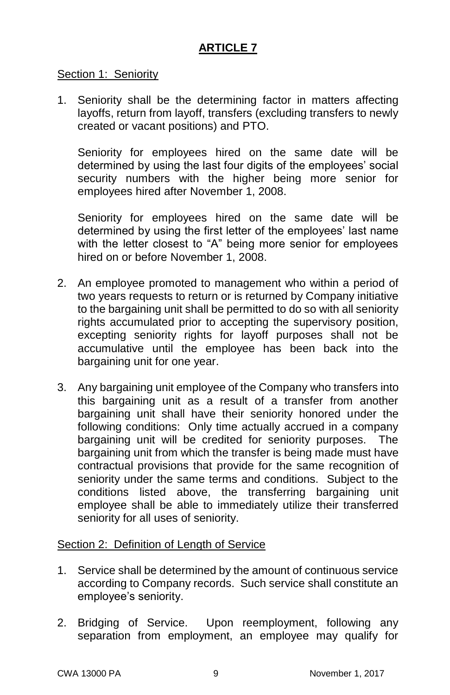# **ARTICLE 7**

### Section 1: Seniority

1. Seniority shall be the determining factor in matters affecting layoffs, return from layoff, transfers (excluding transfers to newly created or vacant positions) and PTO.

Seniority for employees hired on the same date will be determined by using the last four digits of the employees' social security numbers with the higher being more senior for employees hired after November 1, 2008.

Seniority for employees hired on the same date will be determined by using the first letter of the employees' last name with the letter closest to "A" being more senior for employees hired on or before November 1, 2008.

- 2. An employee promoted to management who within a period of two years requests to return or is returned by Company initiative to the bargaining unit shall be permitted to do so with all seniority rights accumulated prior to accepting the supervisory position, excepting seniority rights for layoff purposes shall not be accumulative until the employee has been back into the bargaining unit for one year.
- 3. Any bargaining unit employee of the Company who transfers into this bargaining unit as a result of a transfer from another bargaining unit shall have their seniority honored under the following conditions: Only time actually accrued in a company bargaining unit will be credited for seniority purposes. The bargaining unit from which the transfer is being made must have contractual provisions that provide for the same recognition of seniority under the same terms and conditions. Subject to the conditions listed above, the transferring bargaining unit employee shall be able to immediately utilize their transferred seniority for all uses of seniority.

#### Section 2: Definition of Length of Service

- 1. Service shall be determined by the amount of continuous service according to Company records. Such service shall constitute an employee's seniority.
- 2. Bridging of Service. Upon reemployment, following any separation from employment, an employee may qualify for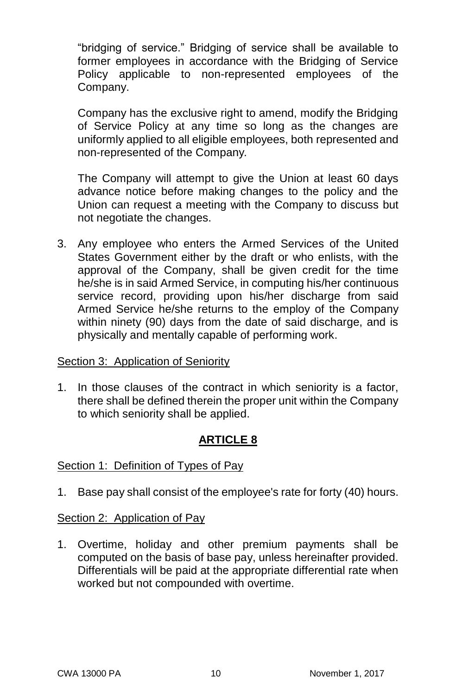"bridging of service." Bridging of service shall be available to former employees in accordance with the Bridging of Service Policy applicable to non-represented employees of the Company.

Company has the exclusive right to amend, modify the Bridging of Service Policy at any time so long as the changes are uniformly applied to all eligible employees, both represented and non-represented of the Company*.* 

The Company will attempt to give the Union at least 60 days advance notice before making changes to the policy and the Union can request a meeting with the Company to discuss but not negotiate the changes.

3. Any employee who enters the Armed Services of the United States Government either by the draft or who enlists, with the approval of the Company, shall be given credit for the time he/she is in said Armed Service, in computing his/her continuous service record, providing upon his/her discharge from said Armed Service he/she returns to the employ of the Company within ninety (90) days from the date of said discharge, and is physically and mentally capable of performing work.

#### Section 3: Application of Seniority

1. In those clauses of the contract in which seniority is a factor, there shall be defined therein the proper unit within the Company to which seniority shall be applied.

# **ARTICLE 8**

# Section 1: Definition of Types of Pay

1. Base pay shall consist of the employee's rate for forty (40) hours.

# Section 2: Application of Pay

1. Overtime, holiday and other premium payments shall be computed on the basis of base pay, unless hereinafter provided. Differentials will be paid at the appropriate differential rate when worked but not compounded with overtime.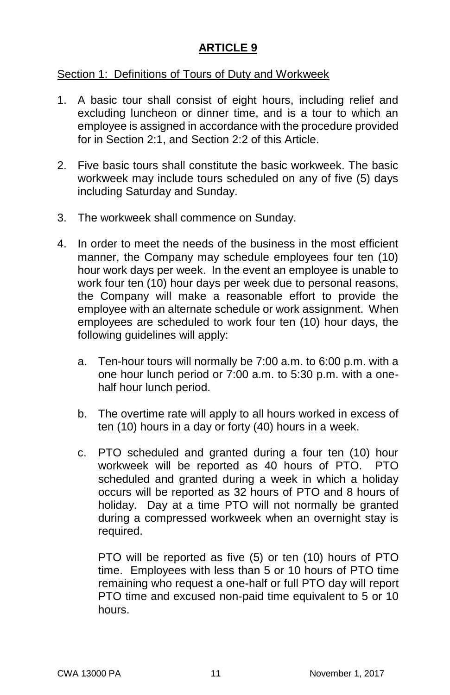# **ARTICLE 9**

### Section 1: Definitions of Tours of Duty and Workweek

- 1. A basic tour shall consist of eight hours, including relief and excluding luncheon or dinner time, and is a tour to which an employee is assigned in accordance with the procedure provided for in Section 2:1, and Section 2:2 of this Article.
- 2. Five basic tours shall constitute the basic workweek. The basic workweek may include tours scheduled on any of five (5) days including Saturday and Sunday.
- 3. The workweek shall commence on Sunday.
- 4. In order to meet the needs of the business in the most efficient manner, the Company may schedule employees four ten (10) hour work days per week. In the event an employee is unable to work four ten (10) hour days per week due to personal reasons, the Company will make a reasonable effort to provide the employee with an alternate schedule or work assignment. When employees are scheduled to work four ten (10) hour days, the following guidelines will apply:
	- a. Ten-hour tours will normally be 7:00 a.m. to 6:00 p.m. with a one hour lunch period or 7:00 a.m. to 5:30 p.m. with a onehalf hour lunch period.
	- b. The overtime rate will apply to all hours worked in excess of ten (10) hours in a day or forty (40) hours in a week.
	- c. PTO scheduled and granted during a four ten (10) hour workweek will be reported as 40 hours of PTO. PTO scheduled and granted during a week in which a holiday occurs will be reported as 32 hours of PTO and 8 hours of holiday. Day at a time PTO will not normally be granted during a compressed workweek when an overnight stay is required.

PTO will be reported as five (5) or ten (10) hours of PTO time. Employees with less than 5 or 10 hours of PTO time remaining who request a one-half or full PTO day will report PTO time and excused non-paid time equivalent to 5 or 10 hours.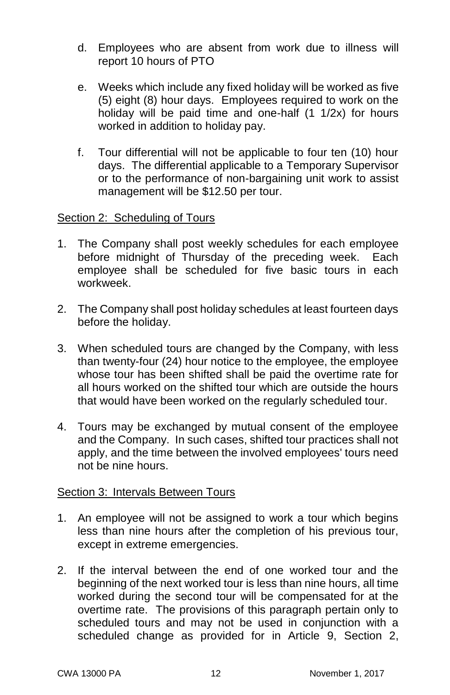- d. Employees who are absent from work due to illness will report 10 hours of PTO
- e. Weeks which include any fixed holiday will be worked as five (5) eight (8) hour days. Employees required to work on the holiday will be paid time and one-half (1 1/2x) for hours worked in addition to holiday pay.
- f. Tour differential will not be applicable to four ten (10) hour days. The differential applicable to a Temporary Supervisor or to the performance of non-bargaining unit work to assist management will be \$12.50 per tour.

### Section 2: Scheduling of Tours

- 1. The Company shall post weekly schedules for each employee before midnight of Thursday of the preceding week. Each employee shall be scheduled for five basic tours in each workweek.
- 2. The Company shall post holiday schedules at least fourteen days before the holiday.
- 3. When scheduled tours are changed by the Company, with less than twenty-four (24) hour notice to the employee, the employee whose tour has been shifted shall be paid the overtime rate for all hours worked on the shifted tour which are outside the hours that would have been worked on the regularly scheduled tour.
- 4. Tours may be exchanged by mutual consent of the employee and the Company. In such cases, shifted tour practices shall not apply, and the time between the involved employees' tours need not be nine hours.

# Section 3: Intervals Between Tours

- 1. An employee will not be assigned to work a tour which begins less than nine hours after the completion of his previous tour, except in extreme emergencies.
- 2. If the interval between the end of one worked tour and the beginning of the next worked tour is less than nine hours, all time worked during the second tour will be compensated for at the overtime rate. The provisions of this paragraph pertain only to scheduled tours and may not be used in conjunction with a scheduled change as provided for in Article 9, Section 2,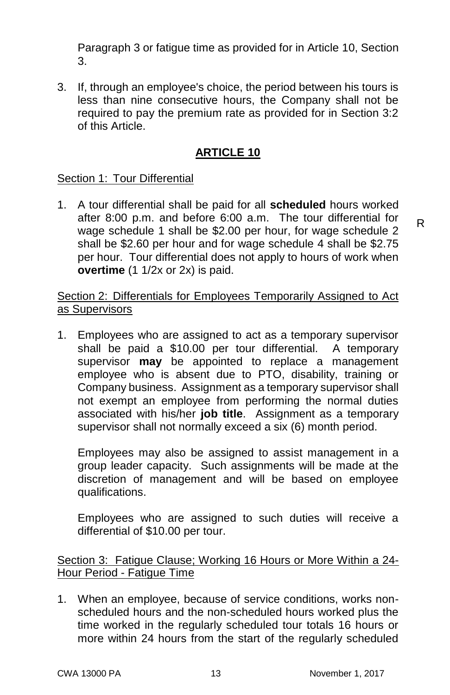Paragraph 3 or fatigue time as provided for in Article 10, Section 3.

3. If, through an employee's choice, the period between his tours is less than nine consecutive hours, the Company shall not be required to pay the premium rate as provided for in Section 3:2 of this Article.

# **ARTICLE 10**

# Section 1: Tour Differential

1. A tour differential shall be paid for all **scheduled** hours worked after 8:00 p.m. and before 6:00 a.m. The tour differential for wage schedule 1 shall be \$2.00 per hour, for wage schedule 2 shall be \$2.60 per hour and for wage schedule 4 shall be \$2.75 per hour. Tour differential does not apply to hours of work when **overtime** (1 1/2x or 2x) is paid.

Section 2: Differentials for Employees Temporarily Assigned to Act as Supervisors

1. Employees who are assigned to act as a temporary supervisor shall be paid a \$10.00 per tour differential. A temporary supervisor **may** be appointed to replace a management employee who is absent due to PTO, disability, training or Company business. Assignment as a temporary supervisor shall not exempt an employee from performing the normal duties associated with his/her **job title**. Assignment as a temporary supervisor shall not normally exceed a six (6) month period.

Employees may also be assigned to assist management in a group leader capacity. Such assignments will be made at the discretion of management and will be based on employee qualifications.

Employees who are assigned to such duties will receive a differential of \$10.00 per tour.

Section 3: Fatigue Clause; Working 16 Hours or More Within a 24-Hour Period - Fatigue Time

1. When an employee, because of service conditions, works nonscheduled hours and the non-scheduled hours worked plus the time worked in the regularly scheduled tour totals 16 hours or more within 24 hours from the start of the regularly scheduled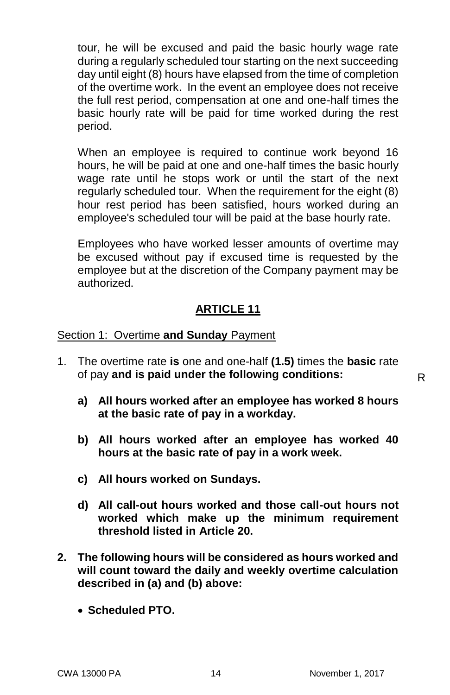tour, he will be excused and paid the basic hourly wage rate during a regularly scheduled tour starting on the next succeeding day until eight (8) hours have elapsed from the time of completion of the overtime work. In the event an employee does not receive the full rest period, compensation at one and one-half times the basic hourly rate will be paid for time worked during the rest period.

When an employee is required to continue work beyond 16 hours, he will be paid at one and one-half times the basic hourly wage rate until he stops work or until the start of the next regularly scheduled tour. When the requirement for the eight (8) hour rest period has been satisfied, hours worked during an employee's scheduled tour will be paid at the base hourly rate.

Employees who have worked lesser amounts of overtime may be excused without pay if excused time is requested by the employee but at the discretion of the Company payment may be authorized.

# **ARTICLE 11**

#### Section 1: Overtime **and Sunday** Payment

- 1. The overtime rate **is** one and one-half **(1.5)** times the **basic** rate of pay **and is paid under the following conditions:**
	- **a) All hours worked after an employee has worked 8 hours at the basic rate of pay in a workday.**
	- **b) All hours worked after an employee has worked 40 hours at the basic rate of pay in a work week.**
	- **c) All hours worked on Sundays.**
	- **d) All call-out hours worked and those call-out hours not worked which make up the minimum requirement threshold listed in Article 20.**
- **2. The following hours will be considered as hours worked and will count toward the daily and weekly overtime calculation described in (a) and (b) above:**
	- **Scheduled PTO.**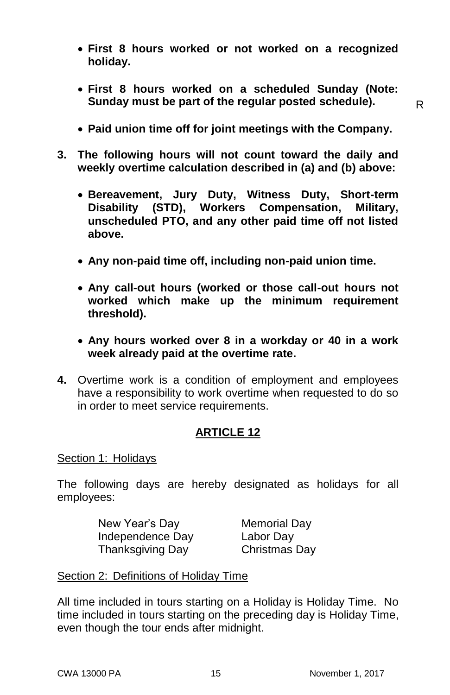- **First 8 hours worked or not worked on a recognized holiday.**
- **First 8 hours worked on a scheduled Sunday (Note: Sunday must be part of the regular posted schedule).**

- **Paid union time off for joint meetings with the Company.**
- **3. The following hours will not count toward the daily and weekly overtime calculation described in (a) and (b) above:**
	- **Bereavement, Jury Duty, Witness Duty, Short-term Disability (STD), Workers Compensation, Military, unscheduled PTO, and any other paid time off not listed above.**
	- **Any non-paid time off, including non-paid union time.**
	- **Any call-out hours (worked or those call-out hours not worked which make up the minimum requirement threshold).**
	- **Any hours worked over 8 in a workday or 40 in a work week already paid at the overtime rate.**
- **4.** Overtime work is a condition of employment and employees have a responsibility to work overtime when requested to do so in order to meet service requirements.

# **ARTICLE 12**

#### Section 1: Holidays

The following days are hereby designated as holidays for all employees:

> New Year's Day Memorial Day Independence Day Labor Day Thanksgiving Day Christmas Day

Section 2: Definitions of Holiday Time

All time included in tours starting on a Holiday is Holiday Time. No time included in tours starting on the preceding day is Holiday Time, even though the tour ends after midnight.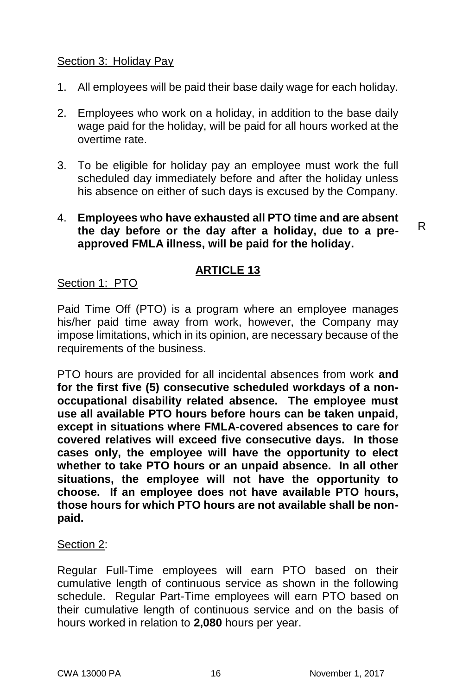### Section 3: Holiday Pay

- 1. All employees will be paid their base daily wage for each holiday.
- 2. Employees who work on a holiday, in addition to the base daily wage paid for the holiday, will be paid for all hours worked at the overtime rate.
- 3. To be eligible for holiday pay an employee must work the full scheduled day immediately before and after the holiday unless his absence on either of such days is excused by the Company.
- 4. **Employees who have exhausted all PTO time and are absent the day before or the day after a holiday, due to a preapproved FMLA illness, will be paid for the holiday.**

# **ARTICLE 13**

### Section 1: PTO

Paid Time Off (PTO) is a program where an employee manages his/her paid time away from work, however, the Company may impose limitations, which in its opinion, are necessary because of the requirements of the business.

PTO hours are provided for all incidental absences from work **and for the first five (5) consecutive scheduled workdays of a nonoccupational disability related absence. The employee must use all available PTO hours before hours can be taken unpaid, except in situations where FMLA-covered absences to care for covered relatives will exceed five consecutive days. In those cases only, the employee will have the opportunity to elect whether to take PTO hours or an unpaid absence. In all other situations, the employee will not have the opportunity to choose. If an employee does not have available PTO hours, those hours for which PTO hours are not available shall be nonpaid.**

#### Section 2:

Regular Full-Time employees will earn PTO based on their cumulative length of continuous service as shown in the following schedule. Regular Part-Time employees will earn PTO based on their cumulative length of continuous service and on the basis of hours worked in relation to **2,080** hours per year.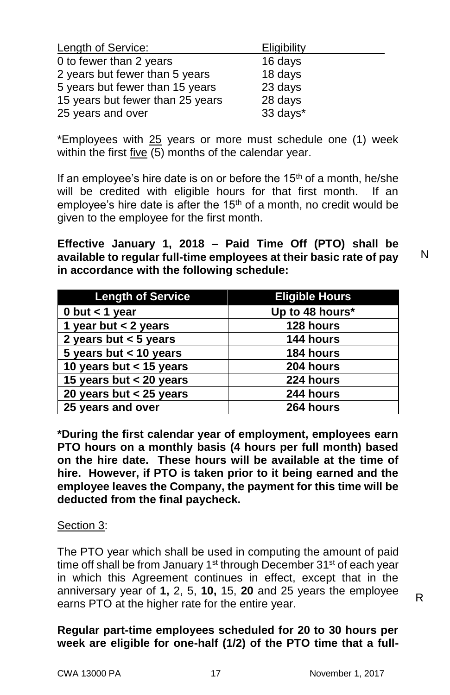| <b>Length of Service:</b>        | <b>Eligibility</b> |
|----------------------------------|--------------------|
| 0 to fewer than 2 years          | 16 days            |
| 2 years but fewer than 5 years   | 18 days            |
| 5 years but fewer than 15 years  | 23 days            |
| 15 years but fewer than 25 years | 28 days            |
| 25 years and over                | 33 days*           |

\*Employees with  $25$  years or more must schedule one (1) week within the first five (5) months of the calendar year.

If an employee's hire date is on or before the  $15<sup>th</sup>$  of a month, he/she will be credited with eligible hours for that first month. If an employee's hire date is after the  $15<sup>th</sup>$  of a month, no credit would be given to the employee for the first month.

**Effective January 1, 2018 – Paid Time Off (PTO) shall be available to regular full-time employees at their basic rate of pay in accordance with the following schedule:**

| <b>Length of Service</b>  | <b>Eligible Hours</b> |
|---------------------------|-----------------------|
| 0 but $<$ 1 year          | Up to 48 hours*       |
| 1 year but $<$ 2 years    | 128 hours             |
| 2 years but $<$ 5 years   | 144 hours             |
| 5 years but $<$ 10 years  | 184 hours             |
| 10 years but $<$ 15 years | 204 hours             |
| 15 years but $<$ 20 years | 224 hours             |
| 20 years but $<$ 25 years | 244 hours             |
| 25 years and over         | 264 hours             |

**\*During the first calendar year of employment, employees earn PTO hours on a monthly basis (4 hours per full month) based on the hire date. These hours will be available at the time of hire. However, if PTO is taken prior to it being earned and the employee leaves the Company, the payment for this time will be deducted from the final paycheck.**

#### Section 3:

The PTO year which shall be used in computing the amount of paid time off shall be from January 1<sup>st</sup> through December 31<sup>st</sup> of each year in which this Agreement continues in effect, except that in the anniversary year of **1,** 2, 5, **10,** 15, **20** and 25 years the employee earns PTO at the higher rate for the entire year.

### **Regular part-time employees scheduled for 20 to 30 hours per week are eligible for one-half (1/2) of the PTO time that a full-**

N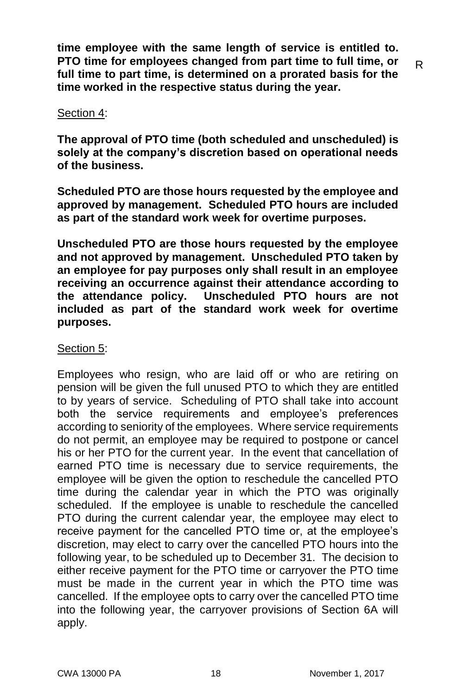**time employee with the same length of service is entitled to. PTO time for employees changed from part time to full time, or full time to part time, is determined on a prorated basis for the time worked in the respective status during the year.**

### Section 4:

**The approval of PTO time (both scheduled and unscheduled) is solely at the company's discretion based on operational needs of the business.**

**Scheduled PTO are those hours requested by the employee and approved by management. Scheduled PTO hours are included as part of the standard work week for overtime purposes.** 

**Unscheduled PTO are those hours requested by the employee and not approved by management. Unscheduled PTO taken by an employee for pay purposes only shall result in an employee receiving an occurrence against their attendance according to the attendance policy. Unscheduled PTO hours are not included as part of the standard work week for overtime purposes.** 

# Section 5:

Employees who resign, who are laid off or who are retiring on pension will be given the full unused PTO to which they are entitled to by years of service. Scheduling of PTO shall take into account both the service requirements and employee's preferences according to seniority of the employees. Where service requirements do not permit, an employee may be required to postpone or cancel his or her PTO for the current year. In the event that cancellation of earned PTO time is necessary due to service requirements, the employee will be given the option to reschedule the cancelled PTO time during the calendar year in which the PTO was originally scheduled. If the employee is unable to reschedule the cancelled PTO during the current calendar year, the employee may elect to receive payment for the cancelled PTO time or, at the employee's discretion, may elect to carry over the cancelled PTO hours into the following year, to be scheduled up to December 31. The decision to either receive payment for the PTO time or carryover the PTO time must be made in the current year in which the PTO time was cancelled. If the employee opts to carry over the cancelled PTO time into the following year, the carryover provisions of Section 6A will apply.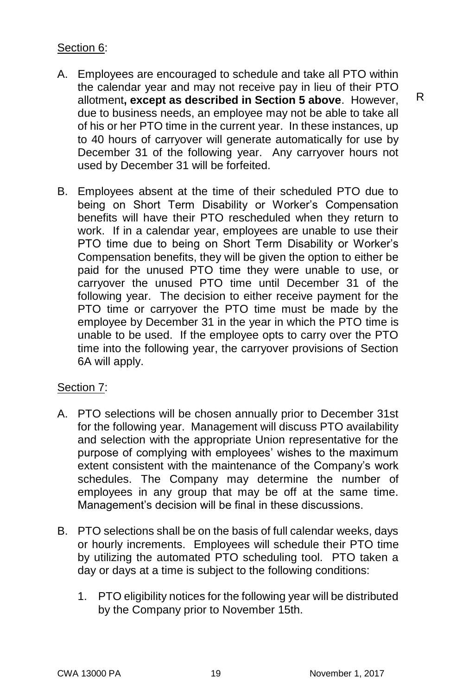# Section 6:

- A. Employees are encouraged to schedule and take all PTO within the calendar year and may not receive pay in lieu of their PTO allotment**, except as described in Section 5 above**. However, due to business needs, an employee may not be able to take all of his or her PTO time in the current year. In these instances, up to 40 hours of carryover will generate automatically for use by December 31 of the following year. Any carryover hours not used by December 31 will be forfeited.
- B. Employees absent at the time of their scheduled PTO due to being on Short Term Disability or Worker's Compensation benefits will have their PTO rescheduled when they return to work. If in a calendar year, employees are unable to use their PTO time due to being on Short Term Disability or Worker's Compensation benefits, they will be given the option to either be paid for the unused PTO time they were unable to use, or carryover the unused PTO time until December 31 of the following year. The decision to either receive payment for the PTO time or carryover the PTO time must be made by the employee by December 31 in the year in which the PTO time is unable to be used. If the employee opts to carry over the PTO time into the following year, the carryover provisions of Section 6A will apply.

# Section 7:

- A. PTO selections will be chosen annually prior to December 31st for the following year. Management will discuss PTO availability and selection with the appropriate Union representative for the purpose of complying with employees' wishes to the maximum extent consistent with the maintenance of the Company's work schedules. The Company may determine the number of employees in any group that may be off at the same time. Management's decision will be final in these discussions.
- B. PTO selections shall be on the basis of full calendar weeks, days or hourly increments. Employees will schedule their PTO time by utilizing the automated PTO scheduling tool. PTO taken a day or days at a time is subject to the following conditions:
	- 1. PTO eligibility notices for the following year will be distributed by the Company prior to November 15th.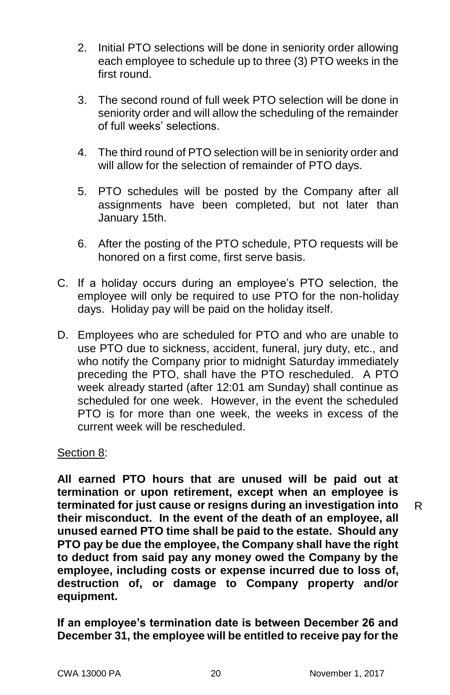- 2. Initial PTO selections will be done in seniority order allowing each employee to schedule up to three (3) PTO weeks in the first round.
- 3. The second round of full week PTO selection will be done in seniority order and will allow the scheduling of the remainder of full weeks' selections.
- 4. The third round of PTO selection will be in seniority order and will allow for the selection of remainder of PTO days.
- 5. PTO schedules will be posted by the Company after all assignments have been completed, but not later than January 15th.
- 6. After the posting of the PTO schedule, PTO requests will be honored on a first come, first serve basis.
- C. If a holiday occurs during an employee's PTO selection, the employee will only be required to use PTO for the non-holiday days. Holiday pay will be paid on the holiday itself.
- D. Employees who are scheduled for PTO and who are unable to use PTO due to sickness, accident, funeral, jury duty, etc., and who notify the Company prior to midnight Saturday immediately preceding the PTO, shall have the PTO rescheduled. A PTO week already started (after 12:01 am Sunday) shall continue as scheduled for one week. However, in the event the scheduled PTO is for more than one week, the weeks in excess of the current week will be rescheduled.

# Section 8:

**All earned PTO hours that are unused will be paid out at termination or upon retirement, except when an employee is terminated for just cause or resigns during an investigation into their misconduct. In the event of the death of an employee, all unused earned PTO time shall be paid to the estate. Should any PTO pay be due the employee, the Company shall have the right to deduct from said pay any money owed the Company by the employee, including costs or expense incurred due to loss of, destruction of, or damage to Company property and/or equipment.**

**If an employee's termination date is between December 26 and December 31, the employee will be entitled to receive pay for the**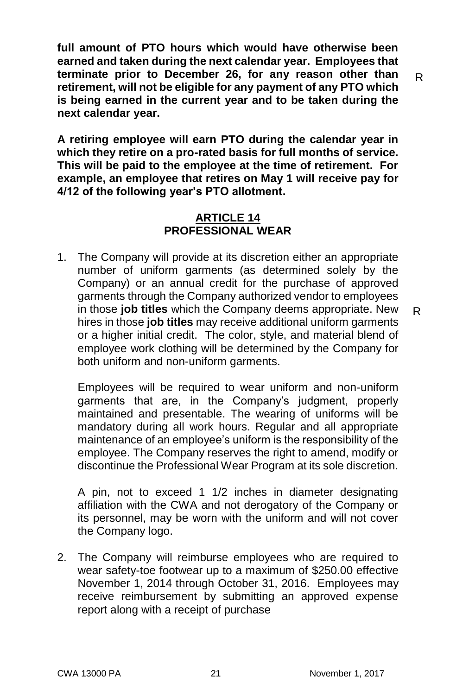**full amount of PTO hours which would have otherwise been earned and taken during the next calendar year. Employees that terminate prior to December 26, for any reason other than retirement, will not be eligible for any payment of any PTO which is being earned in the current year and to be taken during the next calendar year.**

**A retiring employee will earn PTO during the calendar year in which they retire on a pro-rated basis for full months of service. This will be paid to the employee at the time of retirement. For example, an employee that retires on May 1 will receive pay for 4/12 of the following year's PTO allotment.**

# **ARTICLE 14 PROFESSIONAL WEAR**

1. The Company will provide at its discretion either an appropriate number of uniform garments (as determined solely by the Company) or an annual credit for the purchase of approved garments through the Company authorized vendor to employees in those **job titles** which the Company deems appropriate. New hires in those **job titles** may receive additional uniform garments or a higher initial credit. The color, style, and material blend of employee work clothing will be determined by the Company for both uniform and non-uniform garments.

Employees will be required to wear uniform and non-uniform garments that are, in the Company's judgment, properly maintained and presentable. The wearing of uniforms will be mandatory during all work hours. Regular and all appropriate maintenance of an employee's uniform is the responsibility of the employee. The Company reserves the right to amend, modify or discontinue the Professional Wear Program at its sole discretion.

A pin, not to exceed 1 1/2 inches in diameter designating affiliation with the CWA and not derogatory of the Company or its personnel, may be worn with the uniform and will not cover the Company logo.

2. The Company will reimburse employees who are required to wear safety-toe footwear up to a maximum of \$250.00 effective November 1, 2014 through October 31, 2016. Employees may receive reimbursement by submitting an approved expense report along with a receipt of purchase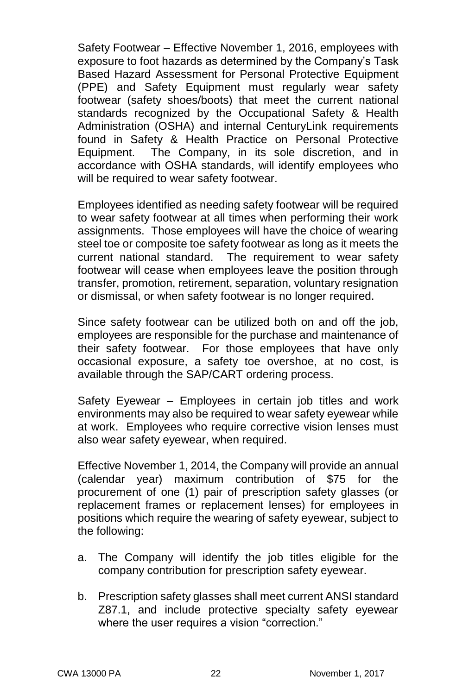Safety Footwear – Effective November 1, 2016, employees with exposure to foot hazards as determined by the Company's Task Based Hazard Assessment for Personal Protective Equipment (PPE) and Safety Equipment must regularly wear safety footwear (safety shoes/boots) that meet the current national standards recognized by the Occupational Safety & Health Administration (OSHA) and internal CenturyLink requirements found in Safety & Health Practice on Personal Protective Equipment. The Company, in its sole discretion, and in accordance with OSHA standards, will identify employees who will be required to wear safety footwear.

Employees identified as needing safety footwear will be required to wear safety footwear at all times when performing their work assignments. Those employees will have the choice of wearing steel toe or composite toe safety footwear as long as it meets the current national standard. The requirement to wear safety footwear will cease when employees leave the position through transfer, promotion, retirement, separation, voluntary resignation or dismissal, or when safety footwear is no longer required.

Since safety footwear can be utilized both on and off the job, employees are responsible for the purchase and maintenance of their safety footwear. For those employees that have only occasional exposure, a safety toe overshoe, at no cost, is available through the SAP/CART ordering process.

Safety Eyewear – Employees in certain job titles and work environments may also be required to wear safety eyewear while at work. Employees who require corrective vision lenses must also wear safety eyewear, when required.

Effective November 1, 2014, the Company will provide an annual (calendar year) maximum contribution of \$75 for the procurement of one (1) pair of prescription safety glasses (or replacement frames or replacement lenses) for employees in positions which require the wearing of safety eyewear, subject to the following:

- a. The Company will identify the job titles eligible for the company contribution for prescription safety eyewear.
- b. Prescription safety glasses shall meet current ANSI standard Z87.1, and include protective specialty safety eyewear where the user requires a vision "correction."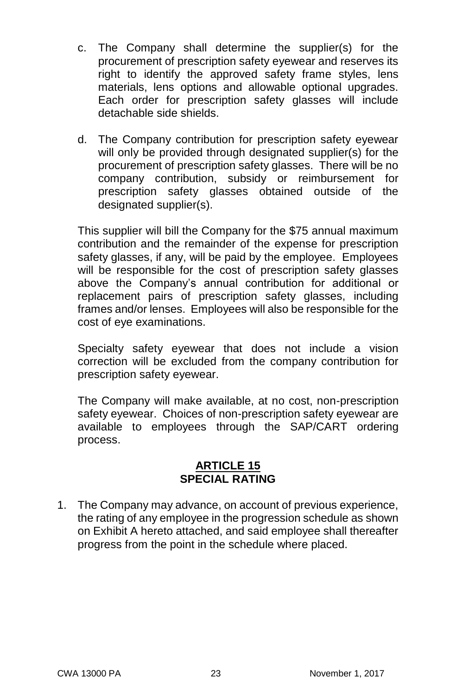- c. The Company shall determine the supplier(s) for the procurement of prescription safety eyewear and reserves its right to identify the approved safety frame styles, lens materials, lens options and allowable optional upgrades. Each order for prescription safety glasses will include detachable side shields.
- d. The Company contribution for prescription safety eyewear will only be provided through designated supplier(s) for the procurement of prescription safety glasses. There will be no company contribution, subsidy or reimbursement for prescription safety glasses obtained outside of the designated supplier(s).

This supplier will bill the Company for the \$75 annual maximum contribution and the remainder of the expense for prescription safety glasses, if any, will be paid by the employee. Employees will be responsible for the cost of prescription safety glasses above the Company's annual contribution for additional or replacement pairs of prescription safety glasses, including frames and/or lenses. Employees will also be responsible for the cost of eye examinations.

Specialty safety eyewear that does not include a vision correction will be excluded from the company contribution for prescription safety eyewear.

The Company will make available, at no cost, non-prescription safety eyewear. Choices of non-prescription safety eyewear are available to employees through the SAP/CART ordering process.

#### **ARTICLE 15 SPECIAL RATING**

1. The Company may advance, on account of previous experience, the rating of any employee in the progression schedule as shown on Exhibit A hereto attached, and said employee shall thereafter progress from the point in the schedule where placed.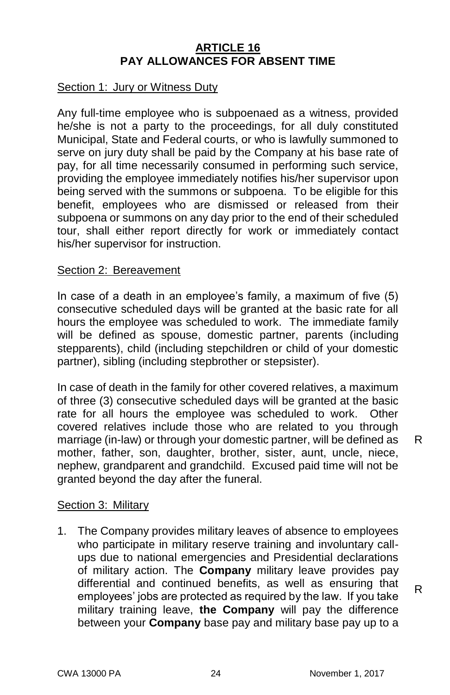### **ARTICLE 16 PAY ALLOWANCES FOR ABSENT TIME**

#### Section 1: Jury or Witness Duty

Any full-time employee who is subpoenaed as a witness, provided he/she is not a party to the proceedings, for all duly constituted Municipal, State and Federal courts, or who is lawfully summoned to serve on jury duty shall be paid by the Company at his base rate of pay, for all time necessarily consumed in performing such service, providing the employee immediately notifies his/her supervisor upon being served with the summons or subpoena. To be eligible for this benefit, employees who are dismissed or released from their subpoena or summons on any day prior to the end of their scheduled tour, shall either report directly for work or immediately contact his/her supervisor for instruction.

#### Section 2: Bereavement

In case of a death in an employee's family, a maximum of five (5) consecutive scheduled days will be granted at the basic rate for all hours the employee was scheduled to work. The immediate family will be defined as spouse, domestic partner, parents (including stepparents), child (including stepchildren or child of your domestic partner), sibling (including stepbrother or stepsister).

In case of death in the family for other covered relatives, a maximum of three (3) consecutive scheduled days will be granted at the basic rate for all hours the employee was scheduled to work. Other covered relatives include those who are related to you through marriage (in-law) or through your domestic partner, will be defined as mother, father, son, daughter, brother, sister, aunt, uncle, niece, nephew, grandparent and grandchild. Excused paid time will not be granted beyond the day after the funeral.

#### Section 3: Military

1. The Company provides military leaves of absence to employees who participate in military reserve training and involuntary callups due to national emergencies and Presidential declarations of military action. The **Company** military leave provides pay differential and continued benefits, as well as ensuring that employees' jobs are protected as required by the law. If you take military training leave, **the Company** will pay the difference between your **Company** base pay and military base pay up to a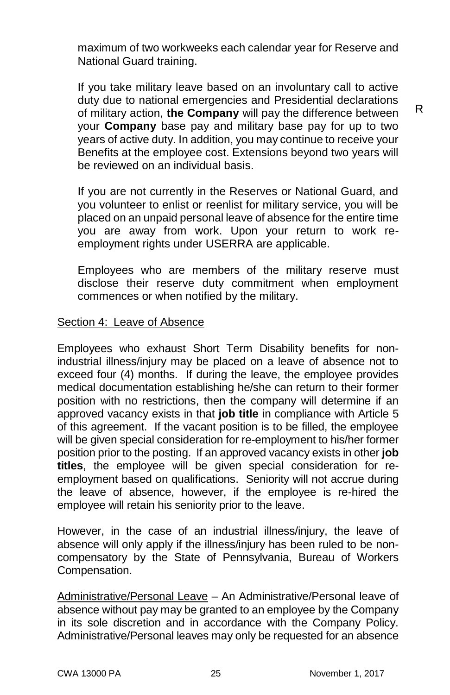maximum of two workweeks each calendar year for Reserve and National Guard training.

If you take military leave based on an involuntary call to active duty due to national emergencies and Presidential declarations of military action, **the Company** will pay the difference between your **Company** base pay and military base pay for up to two years of active duty. In addition, you may continue to receive your Benefits at the employee cost. Extensions beyond two years will be reviewed on an individual basis.

R

If you are not currently in the Reserves or National Guard, and you volunteer to enlist or reenlist for military service, you will be placed on an unpaid personal leave of absence for the entire time you are away from work. Upon your return to work reemployment rights under USERRA are applicable.

Employees who are members of the military reserve must disclose their reserve duty commitment when employment commences or when notified by the military.

#### Section 4: Leave of Absence

Employees who exhaust Short Term Disability benefits for nonindustrial illness/injury may be placed on a leave of absence not to exceed four (4) months. If during the leave, the employee provides medical documentation establishing he/she can return to their former position with no restrictions, then the company will determine if an approved vacancy exists in that **job title** in compliance with Article 5 of this agreement. If the vacant position is to be filled, the employee will be given special consideration for re-employment to his/her former position prior to the posting. If an approved vacancy exists in other **job titles**, the employee will be given special consideration for reemployment based on qualifications. Seniority will not accrue during the leave of absence, however, if the employee is re-hired the employee will retain his seniority prior to the leave.

However, in the case of an industrial illness/injury, the leave of absence will only apply if the illness/injury has been ruled to be noncompensatory by the State of Pennsylvania, Bureau of Workers Compensation.

Administrative/Personal Leave – An Administrative/Personal leave of absence without pay may be granted to an employee by the Company in its sole discretion and in accordance with the Company Policy. Administrative/Personal leaves may only be requested for an absence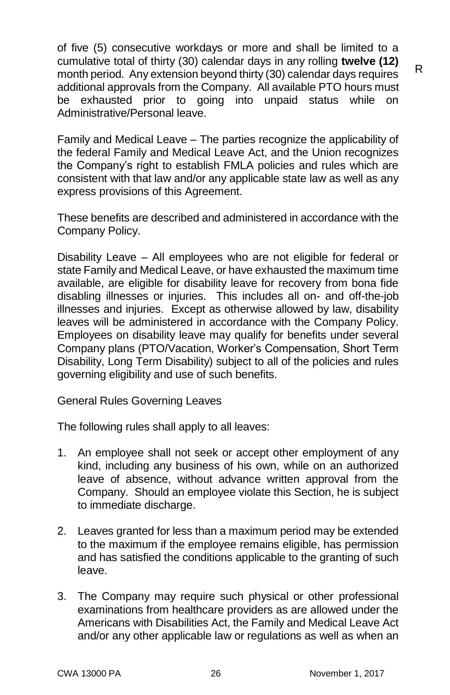of five (5) consecutive workdays or more and shall be limited to a cumulative total of thirty (30) calendar days in any rolling **twelve (12)** month period. Any extension beyond thirty (30) calendar days requires additional approvals from the Company. All available PTO hours must be exhausted prior to going into unpaid status while on Administrative/Personal leave.

Family and Medical Leave – The parties recognize the applicability of the federal Family and Medical Leave Act, and the Union recognizes the Company's right to establish FMLA policies and rules which are consistent with that law and/or any applicable state law as well as any express provisions of this Agreement.

These benefits are described and administered in accordance with the Company Policy.

Disability Leave – All employees who are not eligible for federal or state Family and Medical Leave, or have exhausted the maximum time available, are eligible for disability leave for recovery from bona fide disabling illnesses or injuries. This includes all on- and off-the-job illnesses and injuries. Except as otherwise allowed by law, disability leaves will be administered in accordance with the Company Policy. Employees on disability leave may qualify for benefits under several Company plans (PTO/Vacation, Worker's Compensation, Short Term Disability, Long Term Disability) subject to all of the policies and rules governing eligibility and use of such benefits.

General Rules Governing Leaves

The following rules shall apply to all leaves:

- 1. An employee shall not seek or accept other employment of any kind, including any business of his own, while on an authorized leave of absence, without advance written approval from the Company. Should an employee violate this Section, he is subject to immediate discharge.
- 2. Leaves granted for less than a maximum period may be extended to the maximum if the employee remains eligible, has permission and has satisfied the conditions applicable to the granting of such leave.
- 3. The Company may require such physical or other professional examinations from healthcare providers as are allowed under the Americans with Disabilities Act, the Family and Medical Leave Act and/or any other applicable law or regulations as well as when an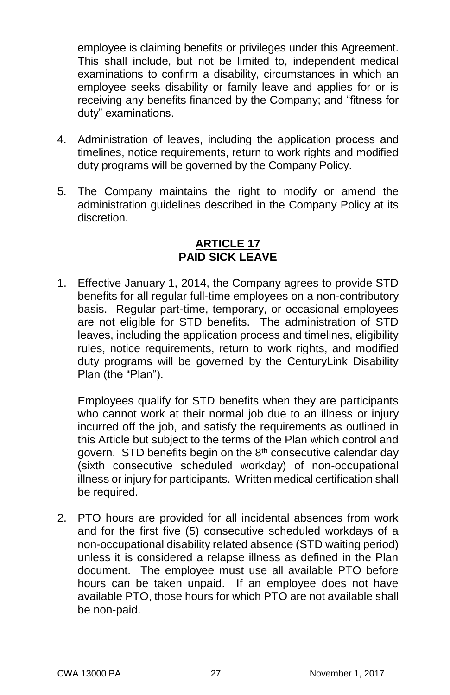employee is claiming benefits or privileges under this Agreement. This shall include, but not be limited to, independent medical examinations to confirm a disability, circumstances in which an employee seeks disability or family leave and applies for or is receiving any benefits financed by the Company; and "fitness for duty" examinations.

- 4. Administration of leaves, including the application process and timelines, notice requirements, return to work rights and modified duty programs will be governed by the Company Policy.
- 5. The Company maintains the right to modify or amend the administration guidelines described in the Company Policy at its discretion.

### **ARTICLE 17 PAID SICK LEAVE**

1. Effective January 1, 2014, the Company agrees to provide STD benefits for all regular full-time employees on a non-contributory basis. Regular part-time, temporary, or occasional employees are not eligible for STD benefits. The administration of STD leaves, including the application process and timelines, eligibility rules, notice requirements, return to work rights, and modified duty programs will be governed by the CenturyLink Disability Plan (the "Plan").

Employees qualify for STD benefits when they are participants who cannot work at their normal job due to an illness or injury incurred off the job, and satisfy the requirements as outlined in this Article but subject to the terms of the Plan which control and govern. STD benefits begin on the 8<sup>th</sup> consecutive calendar day (sixth consecutive scheduled workday) of non-occupational illness or injury for participants. Written medical certification shall be required.

2. PTO hours are provided for all incidental absences from work and for the first five (5) consecutive scheduled workdays of a non-occupational disability related absence (STD waiting period) unless it is considered a relapse illness as defined in the Plan document. The employee must use all available PTO before hours can be taken unpaid. If an employee does not have available PTO, those hours for which PTO are not available shall be non-paid.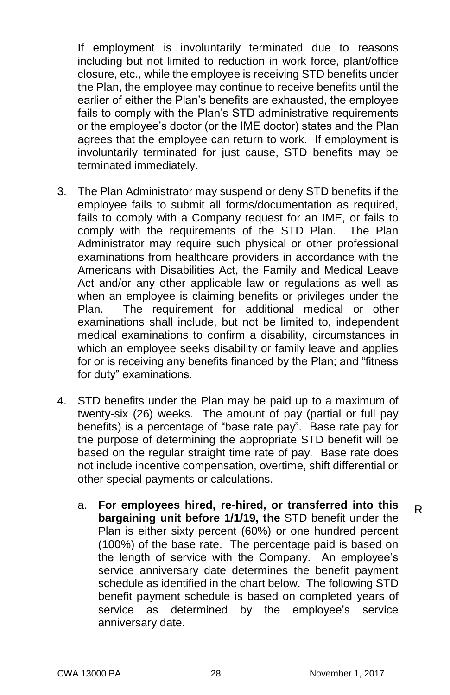If employment is involuntarily terminated due to reasons including but not limited to reduction in work force, plant/office closure, etc., while the employee is receiving STD benefits under the Plan, the employee may continue to receive benefits until the earlier of either the Plan's benefits are exhausted, the employee fails to comply with the Plan's STD administrative requirements or the employee's doctor (or the IME doctor) states and the Plan agrees that the employee can return to work. If employment is involuntarily terminated for just cause, STD benefits may be terminated immediately.

- 3. The Plan Administrator may suspend or deny STD benefits if the employee fails to submit all forms/documentation as required, fails to comply with a Company request for an IME, or fails to comply with the requirements of the STD Plan. The Plan Administrator may require such physical or other professional examinations from healthcare providers in accordance with the Americans with Disabilities Act, the Family and Medical Leave Act and/or any other applicable law or regulations as well as when an employee is claiming benefits or privileges under the Plan. The requirement for additional medical or other examinations shall include, but not be limited to, independent medical examinations to confirm a disability, circumstances in which an employee seeks disability or family leave and applies for or is receiving any benefits financed by the Plan; and "fitness for duty" examinations.
- 4. STD benefits under the Plan may be paid up to a maximum of twenty-six (26) weeks. The amount of pay (partial or full pay benefits) is a percentage of "base rate pay". Base rate pay for the purpose of determining the appropriate STD benefit will be based on the regular straight time rate of pay. Base rate does not include incentive compensation, overtime, shift differential or other special payments or calculations.
	- a. **For employees hired, re-hired, or transferred into this bargaining unit before 1/1/19, the** STD benefit under the Plan is either sixty percent (60%) or one hundred percent (100%) of the base rate. The percentage paid is based on the length of service with the Company. An employee's service anniversary date determines the benefit payment schedule as identified in the chart below. The following STD benefit payment schedule is based on completed years of service as determined by the employee's service anniversary date. R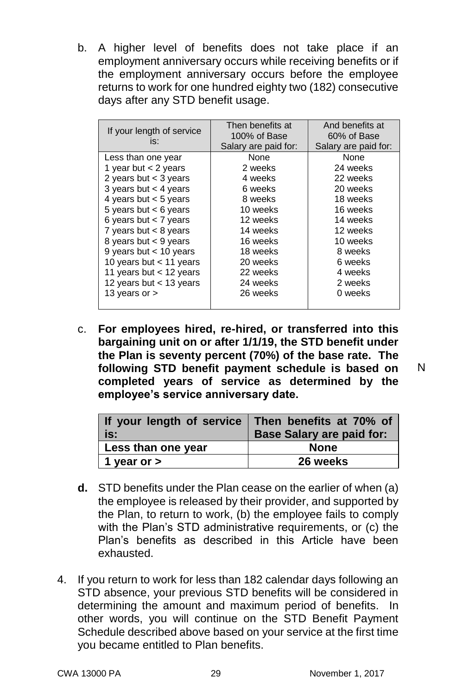b. A higher level of benefits does not take place if an employment anniversary occurs while receiving benefits or if the employment anniversary occurs before the employee returns to work for one hundred eighty two (182) consecutive days after any STD benefit usage.

| If your length of service<br>is: | Then benefits at<br>100% of Base<br>Salary are paid for: | And benefits at<br>60% of Base<br>Salary are paid for: |
|----------------------------------|----------------------------------------------------------|--------------------------------------------------------|
| Less than one year               | None                                                     | None                                                   |
| 1 year but $<$ 2 years           | 2 weeks                                                  | 24 weeks                                               |
| 2 years but $<$ 3 years          | 4 weeks                                                  | 22 weeks                                               |
| 3 years but $<$ 4 years          | 6 weeks                                                  | 20 weeks                                               |
| 4 years but $<$ 5 years          | 8 weeks                                                  | 18 weeks                                               |
| 5 years but $<$ 6 years          | 10 weeks                                                 | 16 weeks                                               |
| 6 years but $<$ 7 years          | 12 weeks                                                 | 14 weeks                                               |
| 7 years but $<$ 8 years          | 14 weeks                                                 | 12 weeks                                               |
| 8 years but $<$ 9 years          | 16 weeks                                                 | 10 weeks                                               |
| 9 years but $<$ 10 years         | 18 weeks                                                 | 8 weeks                                                |
| 10 years but $<$ 11 years        | 20 weeks                                                 | 6 weeks                                                |
| 11 years but $<$ 12 years        | 22 weeks                                                 | 4 weeks                                                |
| 12 years but $<$ 13 years        | 24 weeks                                                 | 2 weeks                                                |
| 13 years or $>$                  | 26 weeks                                                 | 0 weeks                                                |
|                                  |                                                          |                                                        |

c. **For employees hired, re-hired, or transferred into this bargaining unit on or after 1/1/19, the STD benefit under the Plan is seventy percent (70%) of the base rate. The following STD benefit payment schedule is based on completed years of service as determined by the employee's service anniversary date.**

| If your length of service Then benefits at 70% of<br>is: | <b>Base Salary are paid for:</b> |
|----------------------------------------------------------|----------------------------------|
| Less than one year                                       | <b>None</b>                      |
| 1 year or $>$                                            | 26 weeks                         |

- **d.** STD benefits under the Plan cease on the earlier of when (a) the employee is released by their provider, and supported by the Plan, to return to work, (b) the employee fails to comply with the Plan's STD administrative requirements, or (c) the Plan's benefits as described in this Article have been exhausted.
- 4. If you return to work for less than 182 calendar days following an STD absence, your previous STD benefits will be considered in determining the amount and maximum period of benefits. In other words, you will continue on the STD Benefit Payment Schedule described above based on your service at the first time you became entitled to Plan benefits.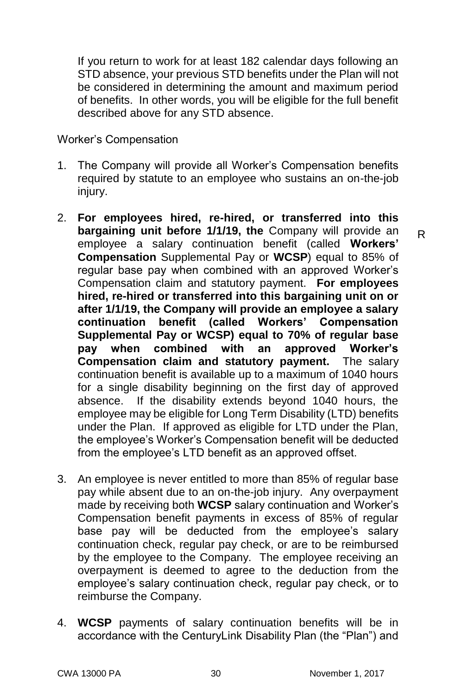If you return to work for at least 182 calendar days following an STD absence, your previous STD benefits under the Plan will not be considered in determining the amount and maximum period of benefits. In other words, you will be eligible for the full benefit described above for any STD absence.

Worker's Compensation

- 1. The Company will provide all Worker's Compensation benefits required by statute to an employee who sustains an on-the-job injury.
- 2. **For employees hired, re-hired, or transferred into this bargaining unit before 1/1/19, the** Company will provide an employee a salary continuation benefit (called **Workers' Compensation** Supplemental Pay or **WCSP**) equal to 85% of regular base pay when combined with an approved Worker's Compensation claim and statutory payment. **For employees hired, re-hired or transferred into this bargaining unit on or after 1/1/19, the Company will provide an employee a salary continuation benefit (called Workers' Compensation Supplemental Pay or WCSP) equal to 70% of regular base pay when combined with an approved Worker's Compensation claim and statutory payment.** The salary continuation benefit is available up to a maximum of 1040 hours for a single disability beginning on the first day of approved absence. If the disability extends beyond 1040 hours, the employee may be eligible for Long Term Disability (LTD) benefits under the Plan. If approved as eligible for LTD under the Plan, the employee's Worker's Compensation benefit will be deducted from the employee's LTD benefit as an approved offset.
- 3. An employee is never entitled to more than 85% of regular base pay while absent due to an on-the-job injury. Any overpayment made by receiving both **WCSP** salary continuation and Worker's Compensation benefit payments in excess of 85% of regular base pay will be deducted from the employee's salary continuation check, regular pay check, or are to be reimbursed by the employee to the Company. The employee receiving an overpayment is deemed to agree to the deduction from the employee's salary continuation check, regular pay check, or to reimburse the Company.
- 4. **WCSP** payments of salary continuation benefits will be in accordance with the CenturyLink Disability Plan (the "Plan") and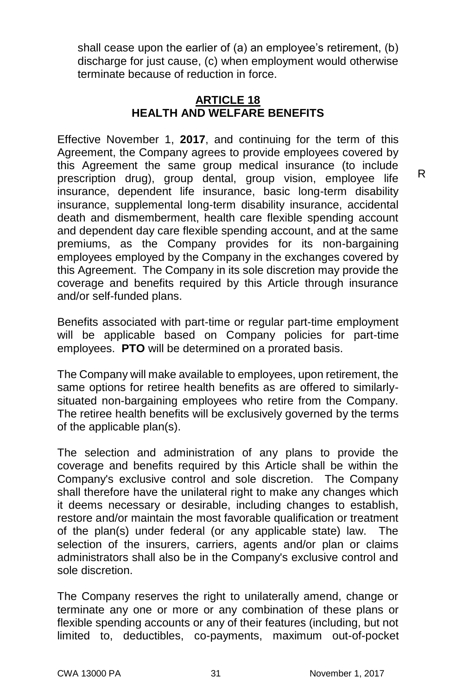shall cease upon the earlier of (a) an employee's retirement, (b) discharge for just cause, (c) when employment would otherwise terminate because of reduction in force.

### **ARTICLE 18 HEALTH AND WELFARE BENEFITS**

Effective November 1, **2017**, and continuing for the term of this Agreement, the Company agrees to provide employees covered by this Agreement the same group medical insurance (to include prescription drug), group dental, group vision, employee life insurance, dependent life insurance, basic long-term disability insurance, supplemental long-term disability insurance, accidental death and dismemberment, health care flexible spending account and dependent day care flexible spending account, and at the same premiums, as the Company provides for its non-bargaining employees employed by the Company in the exchanges covered by this Agreement. The Company in its sole discretion may provide the coverage and benefits required by this Article through insurance and/or self-funded plans.

Benefits associated with part-time or regular part-time employment will be applicable based on Company policies for part-time employees. **PTO** will be determined on a prorated basis.

The Company will make available to employees, upon retirement, the same options for retiree health benefits as are offered to similarlysituated non-bargaining employees who retire from the Company. The retiree health benefits will be exclusively governed by the terms of the applicable plan(s).

The selection and administration of any plans to provide the coverage and benefits required by this Article shall be within the Company's exclusive control and sole discretion. The Company shall therefore have the unilateral right to make any changes which it deems necessary or desirable, including changes to establish, restore and/or maintain the most favorable qualification or treatment of the plan(s) under federal (or any applicable state) law. The selection of the insurers, carriers, agents and/or plan or claims administrators shall also be in the Company's exclusive control and sole discretion.

The Company reserves the right to unilaterally amend, change or terminate any one or more or any combination of these plans or flexible spending accounts or any of their features (including, but not limited to, deductibles, co-payments, maximum out-of-pocket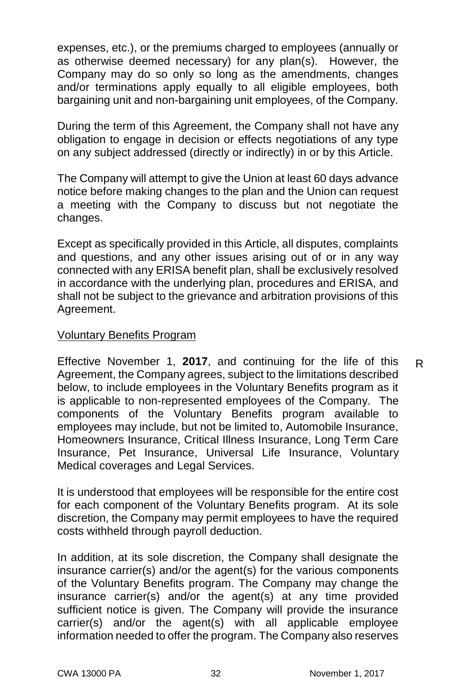expenses, etc.), or the premiums charged to employees (annually or as otherwise deemed necessary) for any plan(s). However, the Company may do so only so long as the amendments, changes and/or terminations apply equally to all eligible employees, both bargaining unit and non-bargaining unit employees, of the Company.

During the term of this Agreement, the Company shall not have any obligation to engage in decision or effects negotiations of any type on any subject addressed (directly or indirectly) in or by this Article.

The Company will attempt to give the Union at least 60 days advance notice before making changes to the plan and the Union can request a meeting with the Company to discuss but not negotiate the changes.

Except as specifically provided in this Article, all disputes, complaints and questions, and any other issues arising out of or in any way connected with any ERISA benefit plan, shall be exclusively resolved in accordance with the underlying plan, procedures and ERISA, and shall not be subject to the grievance and arbitration provisions of this Agreement.

#### Voluntary Benefits Program

Effective November 1, **2017**, and continuing for the life of this Agreement, the Company agrees, subject to the limitations described below, to include employees in the Voluntary Benefits program as it is applicable to non-represented employees of the Company. The components of the Voluntary Benefits program available to employees may include, but not be limited to, Automobile Insurance, Homeowners Insurance, Critical Illness Insurance, Long Term Care Insurance, Pet Insurance, Universal Life Insurance, Voluntary Medical coverages and Legal Services. R

It is understood that employees will be responsible for the entire cost for each component of the Voluntary Benefits program. At its sole discretion, the Company may permit employees to have the required costs withheld through payroll deduction.

In addition, at its sole discretion, the Company shall designate the insurance carrier(s) and/or the agent(s) for the various components of the Voluntary Benefits program. The Company may change the insurance carrier(s) and/or the agent(s) at any time provided sufficient notice is given. The Company will provide the insurance carrier(s) and/or the agent(s) with all applicable employee information needed to offer the program. The Company also reserves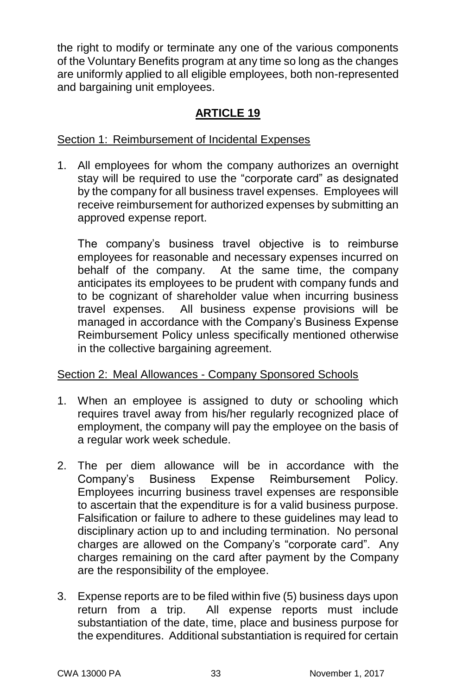the right to modify or terminate any one of the various components of the Voluntary Benefits program at any time so long as the changes are uniformly applied to all eligible employees, both non-represented and bargaining unit employees.

#### **ARTICLE 19**

#### Section 1: Reimbursement of Incidental Expenses

1. All employees for whom the company authorizes an overnight stay will be required to use the "corporate card" as designated by the company for all business travel expenses. Employees will receive reimbursement for authorized expenses by submitting an approved expense report.

The company's business travel objective is to reimburse employees for reasonable and necessary expenses incurred on behalf of the company. At the same time, the company anticipates its employees to be prudent with company funds and to be cognizant of shareholder value when incurring business travel expenses. All business expense provisions will be managed in accordance with the Company's Business Expense Reimbursement Policy unless specifically mentioned otherwise in the collective bargaining agreement.

#### Section 2: Meal Allowances - Company Sponsored Schools

- 1. When an employee is assigned to duty or schooling which requires travel away from his/her regularly recognized place of employment, the company will pay the employee on the basis of a regular work week schedule.
- 2. The per diem allowance will be in accordance with the Company's Business Expense Reimbursement Policy. Employees incurring business travel expenses are responsible to ascertain that the expenditure is for a valid business purpose. Falsification or failure to adhere to these guidelines may lead to disciplinary action up to and including termination. No personal charges are allowed on the Company's "corporate card". Any charges remaining on the card after payment by the Company are the responsibility of the employee.
- 3. Expense reports are to be filed within five (5) business days upon return from a trip. All expense reports must include substantiation of the date, time, place and business purpose for the expenditures. Additional substantiation is required for certain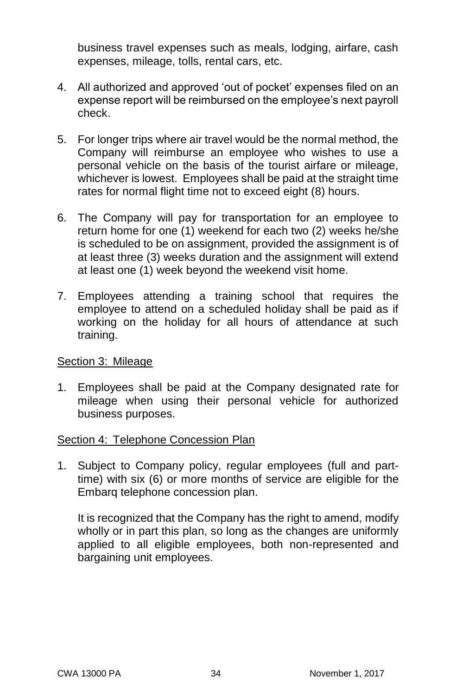business travel expenses such as meals, lodging, airfare, cash expenses, mileage, tolls, rental cars, etc.

- 4. All authorized and approved 'out of pocket' expenses filed on an expense report will be reimbursed on the employee's next payroll check.
- 5. For longer trips where air travel would be the normal method, the Company will reimburse an employee who wishes to use a personal vehicle on the basis of the tourist airfare or mileage, whichever is lowest. Employees shall be paid at the straight time rates for normal flight time not to exceed eight (8) hours.
- 6. The Company will pay for transportation for an employee to return home for one (1) weekend for each two (2) weeks he/she is scheduled to be on assignment, provided the assignment is of at least three (3) weeks duration and the assignment will extend at least one (1) week beyond the weekend visit home.
- 7. Employees attending a training school that requires the employee to attend on a scheduled holiday shall be paid as if working on the holiday for all hours of attendance at such training.

#### Section 3: Mileage

1. Employees shall be paid at the Company designated rate for mileage when using their personal vehicle for authorized business purposes.

#### Section 4: Telephone Concession Plan

1. Subject to Company policy, regular employees (full and parttime) with six (6) or more months of service are eligible for the Embarq telephone concession plan.

It is recognized that the Company has the right to amend, modify wholly or in part this plan, so long as the changes are uniformly applied to all eligible employees, both non-represented and bargaining unit employees.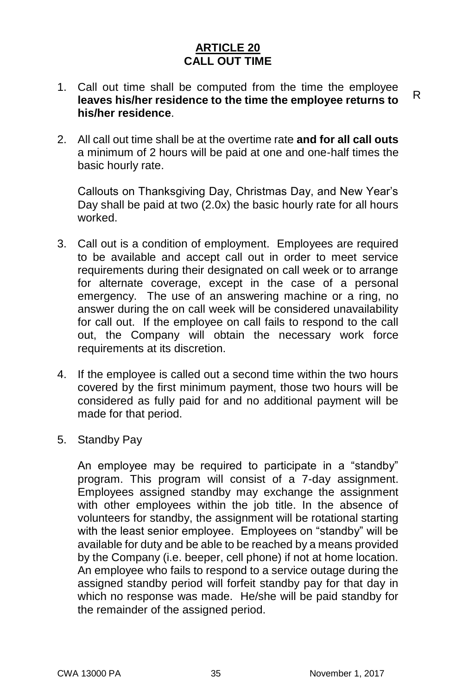#### **ARTICLE 20 CALL OUT TIME**

- 1. Call out time shall be computed from the time the employee **leaves his/her residence to the time the employee returns to his/her residence**. R
- 2. All call out time shall be at the overtime rate **and for all call outs** a minimum of 2 hours will be paid at one and one-half times the basic hourly rate.

Callouts on Thanksgiving Day, Christmas Day, and New Year's Day shall be paid at two (2.0x) the basic hourly rate for all hours worked.

- 3. Call out is a condition of employment. Employees are required to be available and accept call out in order to meet service requirements during their designated on call week or to arrange for alternate coverage, except in the case of a personal emergency. The use of an answering machine or a ring, no answer during the on call week will be considered unavailability for call out. If the employee on call fails to respond to the call out, the Company will obtain the necessary work force requirements at its discretion.
- 4. If the employee is called out a second time within the two hours covered by the first minimum payment, those two hours will be considered as fully paid for and no additional payment will be made for that period.
- 5. Standby Pay

An employee may be required to participate in a "standby" program. This program will consist of a 7-day assignment. Employees assigned standby may exchange the assignment with other employees within the job title. In the absence of volunteers for standby, the assignment will be rotational starting with the least senior employee. Employees on "standby" will be available for duty and be able to be reached by a means provided by the Company (i.e. beeper, cell phone) if not at home location. An employee who fails to respond to a service outage during the assigned standby period will forfeit standby pay for that day in which no response was made. He/she will be paid standby for the remainder of the assigned period.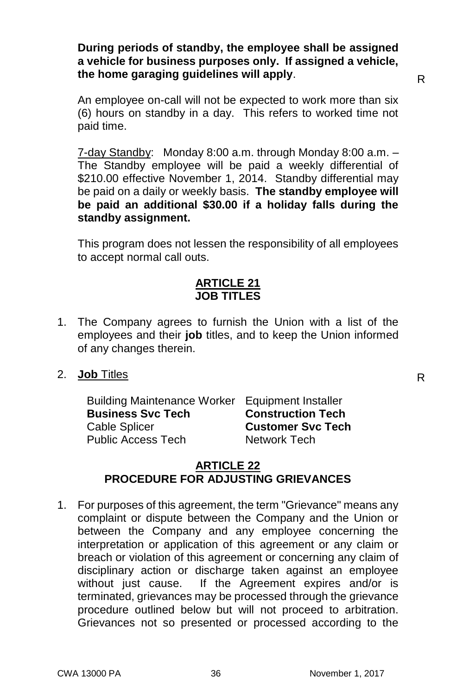#### **During periods of standby, the employee shall be assigned a vehicle for business purposes only. If assigned a vehicle, the home garaging guidelines will apply**.

R

An employee on-call will not be expected to work more than six (6) hours on standby in a day. This refers to worked time not paid time.

7-day Standby: Monday 8:00 a.m. through Monday 8:00 a.m. – The Standby employee will be paid a weekly differential of \$210.00 effective November 1, 2014. Standby differential may be paid on a daily or weekly basis. **The standby employee will be paid an additional \$30.00 if a holiday falls during the standby assignment.**

This program does not lessen the responsibility of all employees to accept normal call outs.

#### **ARTICLE 21 JOB TITLES**

- 1. The Company agrees to furnish the Union with a list of the employees and their **job** titles, and to keep the Union informed of any changes therein.
- 2. **Job** Titles

Building Maintenance Worker Equipment Installer<br>**Business Svc Tech** Construction Tech **Business Svc Tech** Cable Splicer **Customer Svc Tech** Public Access Tech Network Tech

#### **ARTICLE 22 PROCEDURE FOR ADJUSTING GRIEVANCES**

1. For purposes of this agreement, the term "Grievance" means any complaint or dispute between the Company and the Union or between the Company and any employee concerning the interpretation or application of this agreement or any claim or breach or violation of this agreement or concerning any claim of disciplinary action or discharge taken against an employee without just cause. If the Agreement expires and/or is terminated, grievances may be processed through the grievance procedure outlined below but will not proceed to arbitration. Grievances not so presented or processed according to the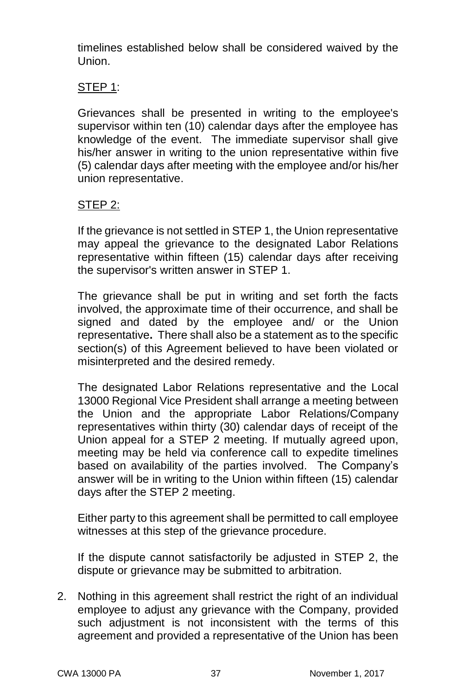timelines established below shall be considered waived by the Union.

#### STEP 1:

Grievances shall be presented in writing to the employee's supervisor within ten (10) calendar days after the employee has knowledge of the event. The immediate supervisor shall give his/her answer in writing to the union representative within five (5) calendar days after meeting with the employee and/or his/her union representative.

#### STEP 2:

If the grievance is not settled in STEP 1, the Union representative may appeal the grievance to the designated Labor Relations representative within fifteen (15) calendar days after receiving the supervisor's written answer in STEP 1.

The grievance shall be put in writing and set forth the facts involved, the approximate time of their occurrence, and shall be signed and dated by the employee and/ or the Union representative**.** There shall also be a statement as to the specific section(s) of this Agreement believed to have been violated or misinterpreted and the desired remedy.

The designated Labor Relations representative and the Local 13000 Regional Vice President shall arrange a meeting between the Union and the appropriate Labor Relations/Company representatives within thirty (30) calendar days of receipt of the Union appeal for a STEP 2 meeting. If mutually agreed upon, meeting may be held via conference call to expedite timelines based on availability of the parties involved. The Company's answer will be in writing to the Union within fifteen (15) calendar days after the STEP 2 meeting.

Either party to this agreement shall be permitted to call employee witnesses at this step of the grievance procedure.

If the dispute cannot satisfactorily be adjusted in STEP 2, the dispute or grievance may be submitted to arbitration.

2. Nothing in this agreement shall restrict the right of an individual employee to adjust any grievance with the Company, provided such adjustment is not inconsistent with the terms of this agreement and provided a representative of the Union has been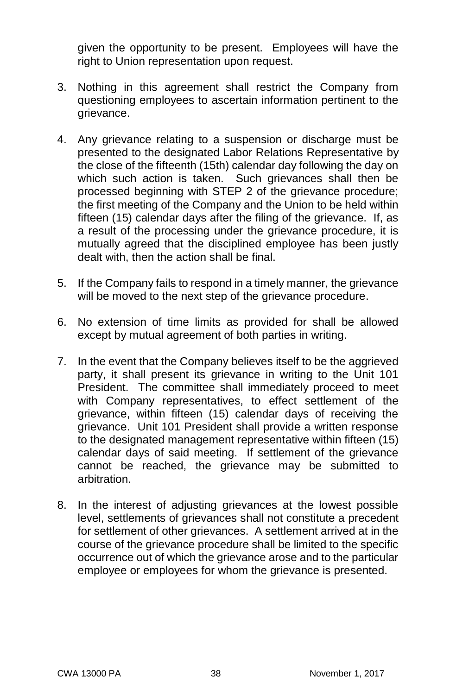given the opportunity to be present. Employees will have the right to Union representation upon request.

- 3. Nothing in this agreement shall restrict the Company from questioning employees to ascertain information pertinent to the grievance.
- 4. Any grievance relating to a suspension or discharge must be presented to the designated Labor Relations Representative by the close of the fifteenth (15th) calendar day following the day on which such action is taken. Such grievances shall then be processed beginning with STEP 2 of the grievance procedure; the first meeting of the Company and the Union to be held within fifteen (15) calendar days after the filing of the grievance. If, as a result of the processing under the grievance procedure, it is mutually agreed that the disciplined employee has been justly dealt with, then the action shall be final.
- 5. If the Company fails to respond in a timely manner, the grievance will be moved to the next step of the grievance procedure.
- 6. No extension of time limits as provided for shall be allowed except by mutual agreement of both parties in writing.
- 7. In the event that the Company believes itself to be the aggrieved party, it shall present its grievance in writing to the Unit 101 President. The committee shall immediately proceed to meet with Company representatives, to effect settlement of the grievance, within fifteen (15) calendar days of receiving the grievance. Unit 101 President shall provide a written response to the designated management representative within fifteen (15) calendar days of said meeting. If settlement of the grievance cannot be reached, the grievance may be submitted to arbitration.
- 8. In the interest of adjusting grievances at the lowest possible level, settlements of grievances shall not constitute a precedent for settlement of other grievances. A settlement arrived at in the course of the grievance procedure shall be limited to the specific occurrence out of which the grievance arose and to the particular employee or employees for whom the grievance is presented.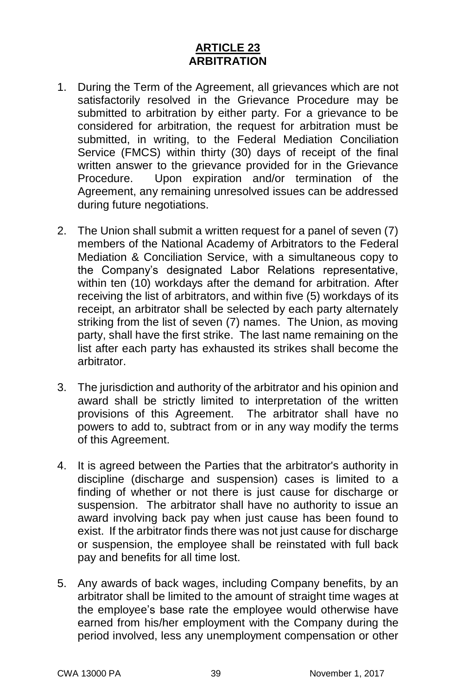#### **ARTICLE 23 ARBITRATION**

- 1. During the Term of the Agreement, all grievances which are not satisfactorily resolved in the Grievance Procedure may be submitted to arbitration by either party. For a grievance to be considered for arbitration, the request for arbitration must be submitted, in writing, to the Federal Mediation Conciliation Service (FMCS) within thirty (30) days of receipt of the final written answer to the grievance provided for in the Grievance Procedure. Upon expiration and/or termination of the Agreement, any remaining unresolved issues can be addressed during future negotiations.
- 2. The Union shall submit a written request for a panel of seven (7) members of the National Academy of Arbitrators to the Federal Mediation & Conciliation Service, with a simultaneous copy to the Company's designated Labor Relations representative, within ten (10) workdays after the demand for arbitration. After receiving the list of arbitrators, and within five (5) workdays of its receipt, an arbitrator shall be selected by each party alternately striking from the list of seven (7) names. The Union, as moving party, shall have the first strike. The last name remaining on the list after each party has exhausted its strikes shall become the arbitrator.
- 3. The jurisdiction and authority of the arbitrator and his opinion and award shall be strictly limited to interpretation of the written provisions of this Agreement. The arbitrator shall have no powers to add to, subtract from or in any way modify the terms of this Agreement.
- 4. It is agreed between the Parties that the arbitrator's authority in discipline (discharge and suspension) cases is limited to a finding of whether or not there is just cause for discharge or suspension. The arbitrator shall have no authority to issue an award involving back pay when just cause has been found to exist. If the arbitrator finds there was not just cause for discharge or suspension, the employee shall be reinstated with full back pay and benefits for all time lost.
- 5. Any awards of back wages, including Company benefits, by an arbitrator shall be limited to the amount of straight time wages at the employee's base rate the employee would otherwise have earned from his/her employment with the Company during the period involved, less any unemployment compensation or other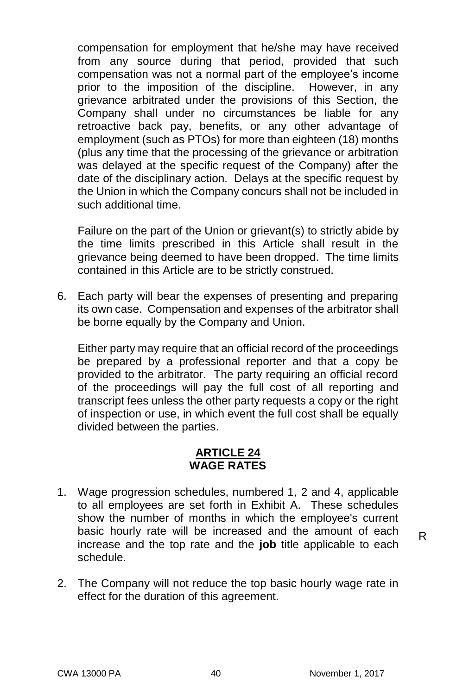compensation for employment that he/she may have received from any source during that period, provided that such compensation was not a normal part of the employee's income prior to the imposition of the discipline. However, in any grievance arbitrated under the provisions of this Section, the Company shall under no circumstances be liable for any retroactive back pay, benefits, or any other advantage of employment (such as PTOs) for more than eighteen (18) months (plus any time that the processing of the grievance or arbitration was delayed at the specific request of the Company) after the date of the disciplinary action. Delays at the specific request by the Union in which the Company concurs shall not be included in such additional time.

Failure on the part of the Union or grievant(s) to strictly abide by the time limits prescribed in this Article shall result in the grievance being deemed to have been dropped. The time limits contained in this Article are to be strictly construed.

6. Each party will bear the expenses of presenting and preparing its own case. Compensation and expenses of the arbitrator shall be borne equally by the Company and Union.

Either party may require that an official record of the proceedings be prepared by a professional reporter and that a copy be provided to the arbitrator. The party requiring an official record of the proceedings will pay the full cost of all reporting and transcript fees unless the other party requests a copy or the right of inspection or use, in which event the full cost shall be equally divided between the parties.

#### **ARTICLE 24 WAGE RATES**

1. Wage progression schedules, numbered 1, 2 and 4, applicable to all employees are set forth in Exhibit A. These schedules show the number of months in which the employee's current basic hourly rate will be increased and the amount of each increase and the top rate and the **job** title applicable to each schedule.

2. The Company will not reduce the top basic hourly wage rate in effect for the duration of this agreement.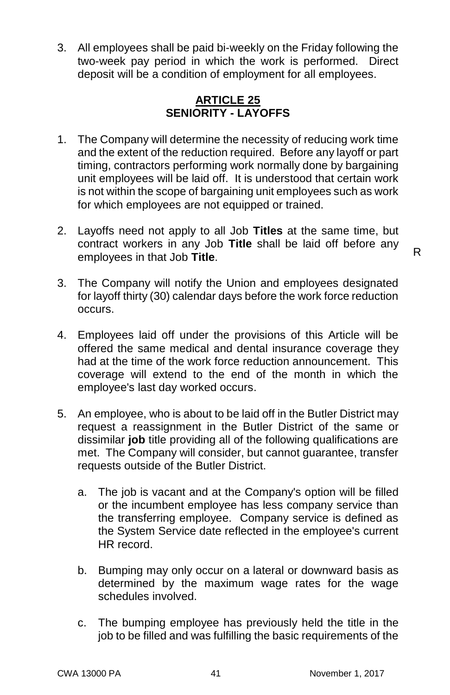3. All employees shall be paid bi-weekly on the Friday following the two-week pay period in which the work is performed. Direct deposit will be a condition of employment for all employees.

#### **ARTICLE 25 SENIORITY - LAYOFFS**

- 1. The Company will determine the necessity of reducing work time and the extent of the reduction required. Before any layoff or part timing, contractors performing work normally done by bargaining unit employees will be laid off. It is understood that certain work is not within the scope of bargaining unit employees such as work for which employees are not equipped or trained.
- 2. Layoffs need not apply to all Job **Titles** at the same time, but contract workers in any Job **Title** shall be laid off before any employees in that Job **Title**.

R

- 3. The Company will notify the Union and employees designated for layoff thirty (30) calendar days before the work force reduction occurs.
- 4. Employees laid off under the provisions of this Article will be offered the same medical and dental insurance coverage they had at the time of the work force reduction announcement. This coverage will extend to the end of the month in which the employee's last day worked occurs.
- 5. An employee, who is about to be laid off in the Butler District may request a reassignment in the Butler District of the same or dissimilar **job** title providing all of the following qualifications are met. The Company will consider, but cannot guarantee, transfer requests outside of the Butler District.
	- a. The job is vacant and at the Company's option will be filled or the incumbent employee has less company service than the transferring employee. Company service is defined as the System Service date reflected in the employee's current HR record.
	- b. Bumping may only occur on a lateral or downward basis as determined by the maximum wage rates for the wage schedules involved.
	- c. The bumping employee has previously held the title in the job to be filled and was fulfilling the basic requirements of the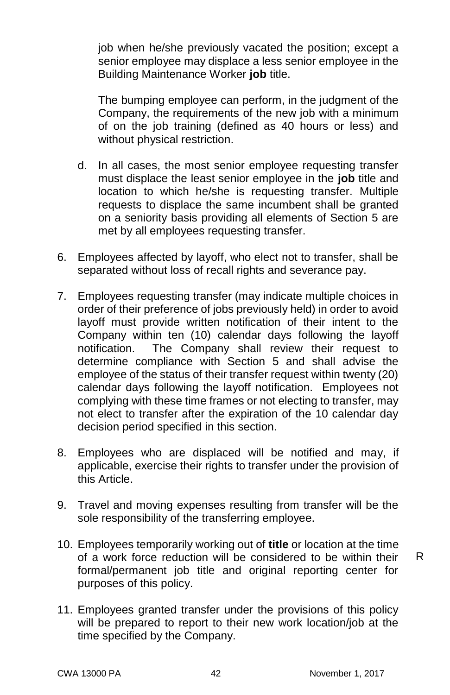job when he/she previously vacated the position; except a senior employee may displace a less senior employee in the Building Maintenance Worker **job** title.

The bumping employee can perform, in the judgment of the Company, the requirements of the new job with a minimum of on the job training (defined as 40 hours or less) and without physical restriction.

- d. In all cases, the most senior employee requesting transfer must displace the least senior employee in the **job** title and location to which he/she is requesting transfer. Multiple requests to displace the same incumbent shall be granted on a seniority basis providing all elements of Section 5 are met by all employees requesting transfer.
- 6. Employees affected by layoff, who elect not to transfer, shall be separated without loss of recall rights and severance pay.
- 7. Employees requesting transfer (may indicate multiple choices in order of their preference of jobs previously held) in order to avoid layoff must provide written notification of their intent to the Company within ten (10) calendar days following the layoff notification. The Company shall review their request to determine compliance with Section 5 and shall advise the employee of the status of their transfer request within twenty (20) calendar days following the layoff notification. Employees not complying with these time frames or not electing to transfer, may not elect to transfer after the expiration of the 10 calendar day decision period specified in this section.
- 8. Employees who are displaced will be notified and may, if applicable, exercise their rights to transfer under the provision of this Article.
- 9. Travel and moving expenses resulting from transfer will be the sole responsibility of the transferring employee.
- 10. Employees temporarily working out of **title** or location at the time of a work force reduction will be considered to be within their formal/permanent job title and original reporting center for purposes of this policy.

11. Employees granted transfer under the provisions of this policy will be prepared to report to their new work location/job at the time specified by the Company.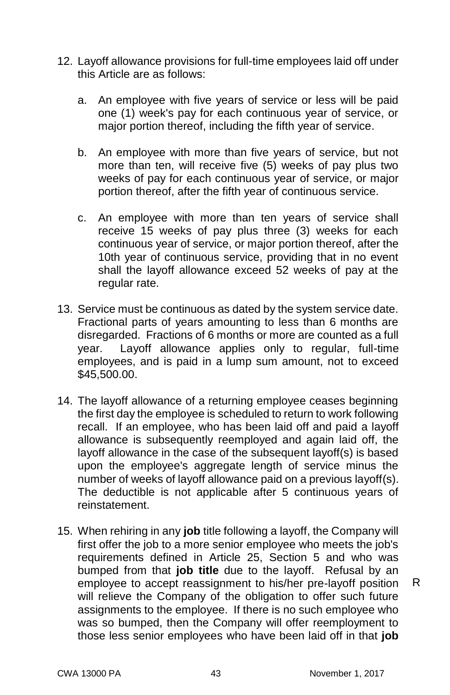- 12. Layoff allowance provisions for full-time employees laid off under this Article are as follows:
	- a. An employee with five years of service or less will be paid one (1) week's pay for each continuous year of service, or major portion thereof, including the fifth year of service.
	- b. An employee with more than five years of service, but not more than ten, will receive five (5) weeks of pay plus two weeks of pay for each continuous vear of service, or major portion thereof, after the fifth year of continuous service.
	- c. An employee with more than ten years of service shall receive 15 weeks of pay plus three (3) weeks for each continuous year of service, or major portion thereof, after the 10th year of continuous service, providing that in no event shall the layoff allowance exceed 52 weeks of pay at the regular rate.
- 13. Service must be continuous as dated by the system service date. Fractional parts of years amounting to less than 6 months are disregarded. Fractions of 6 months or more are counted as a full year. Layoff allowance applies only to regular, full-time employees, and is paid in a lump sum amount, not to exceed \$45,500.00.
- 14. The layoff allowance of a returning employee ceases beginning the first day the employee is scheduled to return to work following recall. If an employee, who has been laid off and paid a layoff allowance is subsequently reemployed and again laid off, the layoff allowance in the case of the subsequent layoff(s) is based upon the employee's aggregate length of service minus the number of weeks of layoff allowance paid on a previous layoff(s). The deductible is not applicable after 5 continuous years of reinstatement.
- 15. When rehiring in any **job** title following a layoff, the Company will first offer the job to a more senior employee who meets the job's requirements defined in Article 25, Section 5 and who was bumped from that **job title** due to the layoff. Refusal by an employee to accept reassignment to his/her pre-layoff position will relieve the Company of the obligation to offer such future assignments to the employee. If there is no such employee who was so bumped, then the Company will offer reemployment to those less senior employees who have been laid off in that **job**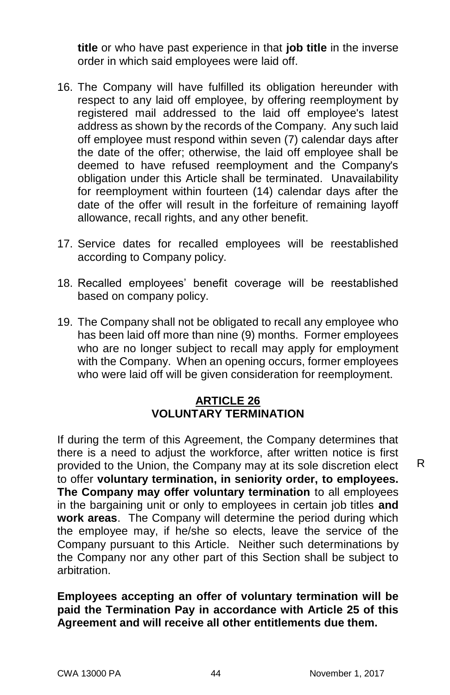**title** or who have past experience in that **job title** in the inverse order in which said employees were laid off.

- 16. The Company will have fulfilled its obligation hereunder with respect to any laid off employee, by offering reemployment by registered mail addressed to the laid off employee's latest address as shown by the records of the Company. Any such laid off employee must respond within seven (7) calendar days after the date of the offer; otherwise, the laid off employee shall be deemed to have refused reemployment and the Company's obligation under this Article shall be terminated. Unavailability for reemployment within fourteen (14) calendar days after the date of the offer will result in the forfeiture of remaining layoff allowance, recall rights, and any other benefit.
- 17. Service dates for recalled employees will be reestablished according to Company policy.
- 18. Recalled employees' benefit coverage will be reestablished based on company policy.
- 19. The Company shall not be obligated to recall any employee who has been laid off more than nine (9) months. Former employees who are no longer subject to recall may apply for employment with the Company. When an opening occurs, former employees who were laid off will be given consideration for reemployment.

#### **ARTICLE 26 VOLUNTARY TERMINATION**

If during the term of this Agreement, the Company determines that there is a need to adjust the workforce, after written notice is first provided to the Union, the Company may at its sole discretion elect to offer **voluntary termination, in seniority order, to employees. The Company may offer voluntary termination** to all employees in the bargaining unit or only to employees in certain job titles **and work areas**. The Company will determine the period during which the employee may, if he/she so elects, leave the service of the Company pursuant to this Article. Neither such determinations by the Company nor any other part of this Section shall be subject to arbitration.

#### **Employees accepting an offer of voluntary termination will be paid the Termination Pay in accordance with Article 25 of this Agreement and will receive all other entitlements due them.**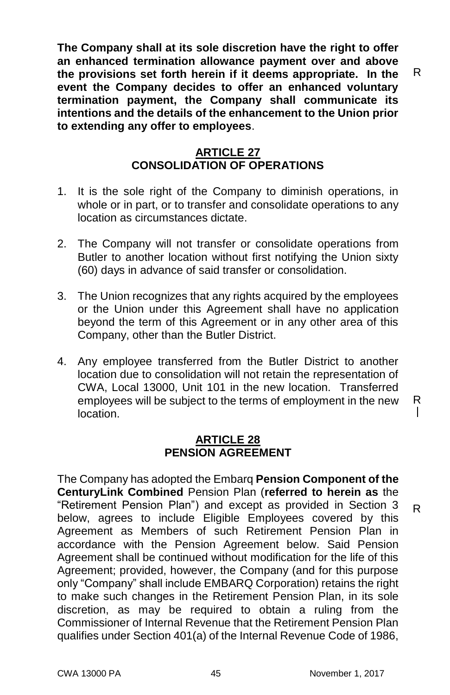**The Company shall at its sole discretion have the right to offer an enhanced termination allowance payment over and above the provisions set forth herein if it deems appropriate. In the event the Company decides to offer an enhanced voluntary termination payment, the Company shall communicate its intentions and the details of the enhancement to the Union prior to extending any offer to employees**.

#### **ARTICLE 27 CONSOLIDATION OF OPERATIONS**

- 1. It is the sole right of the Company to diminish operations, in whole or in part, or to transfer and consolidate operations to any location as circumstances dictate.
- 2. The Company will not transfer or consolidate operations from Butler to another location without first notifying the Union sixty (60) days in advance of said transfer or consolidation.
- 3. The Union recognizes that any rights acquired by the employees or the Union under this Agreement shall have no application beyond the term of this Agreement or in any other area of this Company, other than the Butler District.
- 4. Any employee transferred from the Butler District to another location due to consolidation will not retain the representation of CWA, Local 13000, Unit 101 in the new location. Transferred employees will be subject to the terms of employment in the new location.

#### **ARTICLE 28 PENSION AGREEMENT**

The Company has adopted the Embarq **Pension Component of the CenturyLink Combined** Pension Plan (**referred to herein as** the "Retirement Pension Plan") and except as provided in Section 3 below, agrees to include Eligible Employees covered by this Agreement as Members of such Retirement Pension Plan in accordance with the Pension Agreement below. Said Pension Agreement shall be continued without modification for the life of this Agreement; provided, however, the Company (and for this purpose only "Company" shall include EMBARQ Corporation) retains the right to make such changes in the Retirement Pension Plan, in its sole discretion, as may be required to obtain a ruling from the Commissioner of Internal Revenue that the Retirement Pension Plan qualifies under Section 401(a) of the Internal Revenue Code of 1986,

R

 $\mathsf{I}$ 

R

R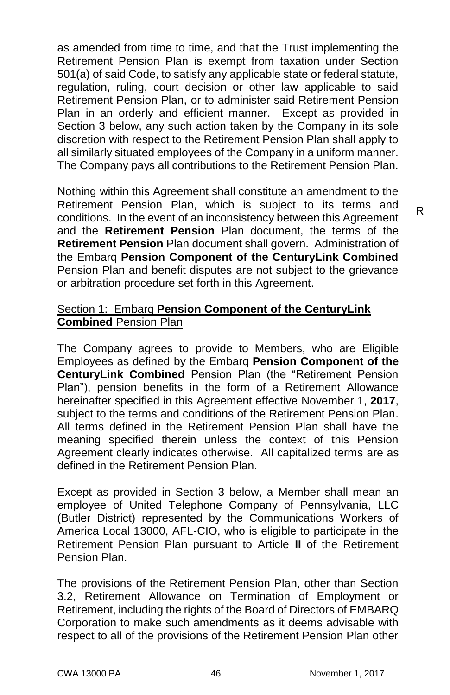as amended from time to time, and that the Trust implementing the Retirement Pension Plan is exempt from taxation under Section 501(a) of said Code, to satisfy any applicable state or federal statute, regulation, ruling, court decision or other law applicable to said Retirement Pension Plan, or to administer said Retirement Pension Plan in an orderly and efficient manner. Except as provided in Section 3 below, any such action taken by the Company in its sole discretion with respect to the Retirement Pension Plan shall apply to all similarly situated employees of the Company in a uniform manner. The Company pays all contributions to the Retirement Pension Plan.

Nothing within this Agreement shall constitute an amendment to the Retirement Pension Plan, which is subject to its terms and conditions. In the event of an inconsistency between this Agreement and the **Retirement Pension** Plan document, the terms of the **Retirement Pension** Plan document shall govern. Administration of the Embarq **Pension Component of the CenturyLink Combined**  Pension Plan and benefit disputes are not subject to the grievance or arbitration procedure set forth in this Agreement.

#### Section 1: Embarq **Pension Component of the CenturyLink Combined** Pension Plan

The Company agrees to provide to Members, who are Eligible Employees as defined by the Embarq **Pension Component of the CenturyLink Combined** Pension Plan (the "Retirement Pension Plan"), pension benefits in the form of a Retirement Allowance hereinafter specified in this Agreement effective November 1, **2017**, subject to the terms and conditions of the Retirement Pension Plan. All terms defined in the Retirement Pension Plan shall have the meaning specified therein unless the context of this Pension Agreement clearly indicates otherwise. All capitalized terms are as defined in the Retirement Pension Plan.

Except as provided in Section 3 below, a Member shall mean an employee of United Telephone Company of Pennsylvania, LLC (Butler District) represented by the Communications Workers of America Local 13000, AFL-CIO, who is eligible to participate in the Retirement Pension Plan pursuant to Article **II** of the Retirement Pension Plan.

The provisions of the Retirement Pension Plan, other than Section 3.2, Retirement Allowance on Termination of Employment or Retirement, including the rights of the Board of Directors of EMBARQ Corporation to make such amendments as it deems advisable with respect to all of the provisions of the Retirement Pension Plan other

R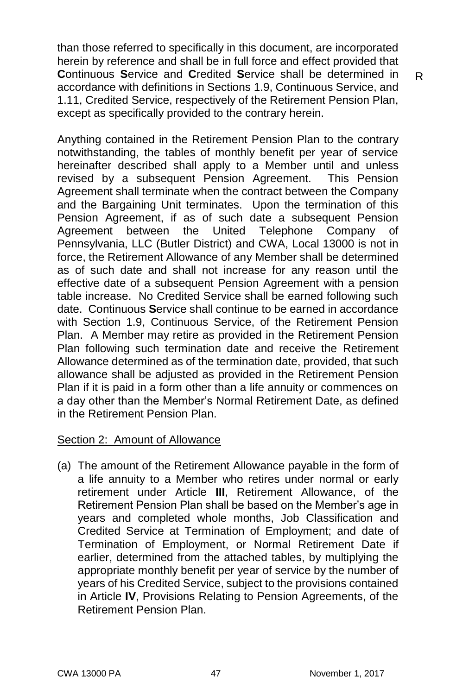than those referred to specifically in this document, are incorporated herein by reference and shall be in full force and effect provided that **C**ontinuous **S**ervice and **C**redited **S**ervice shall be determined in accordance with definitions in Sections 1.9, Continuous Service, and 1.11, Credited Service, respectively of the Retirement Pension Plan, except as specifically provided to the contrary herein.

Anything contained in the Retirement Pension Plan to the contrary notwithstanding, the tables of monthly benefit per year of service hereinafter described shall apply to a Member until and unless revised by a subsequent Pension Agreement. This Pension Agreement shall terminate when the contract between the Company and the Bargaining Unit terminates. Upon the termination of this Pension Agreement, if as of such date a subsequent Pension Agreement between the United Telephone Company of Pennsylvania, LLC (Butler District) and CWA, Local 13000 is not in force, the Retirement Allowance of any Member shall be determined as of such date and shall not increase for any reason until the effective date of a subsequent Pension Agreement with a pension table increase. No Credited Service shall be earned following such date. Continuous **S**ervice shall continue to be earned in accordance with Section 1.9, Continuous Service, of the Retirement Pension Plan. A Member may retire as provided in the Retirement Pension Plan following such termination date and receive the Retirement Allowance determined as of the termination date, provided, that such allowance shall be adjusted as provided in the Retirement Pension Plan if it is paid in a form other than a life annuity or commences on a day other than the Member's Normal Retirement Date, as defined in the Retirement Pension Plan.

#### Section 2: Amount of Allowance

(a) The amount of the Retirement Allowance payable in the form of a life annuity to a Member who retires under normal or early retirement under Article **III**, Retirement Allowance, of the Retirement Pension Plan shall be based on the Member's age in years and completed whole months, Job Classification and Credited Service at Termination of Employment; and date of Termination of Employment, or Normal Retirement Date if earlier, determined from the attached tables, by multiplying the appropriate monthly benefit per year of service by the number of years of his Credited Service, subject to the provisions contained in Article **IV**, Provisions Relating to Pension Agreements, of the Retirement Pension Plan.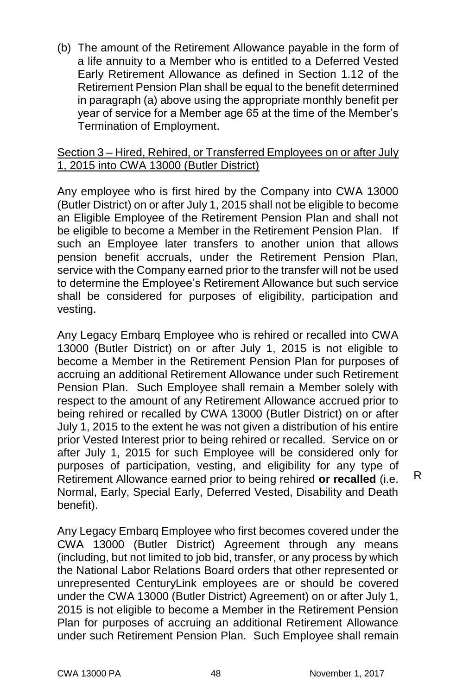(b) The amount of the Retirement Allowance payable in the form of a life annuity to a Member who is entitled to a Deferred Vested Early Retirement Allowance as defined in Section 1.12 of the Retirement Pension Plan shall be equal to the benefit determined in paragraph (a) above using the appropriate monthly benefit per year of service for a Member age 65 at the time of the Member's Termination of Employment.

#### Section 3 – Hired, Rehired, or Transferred Employees on or after July 1, 2015 into CWA 13000 (Butler District)

Any employee who is first hired by the Company into CWA 13000 (Butler District) on or after July 1, 2015 shall not be eligible to become an Eligible Employee of the Retirement Pension Plan and shall not be eligible to become a Member in the Retirement Pension Plan. If such an Employee later transfers to another union that allows pension benefit accruals, under the Retirement Pension Plan, service with the Company earned prior to the transfer will not be used to determine the Employee's Retirement Allowance but such service shall be considered for purposes of eligibility, participation and vesting.

Any Legacy Embarq Employee who is rehired or recalled into CWA 13000 (Butler District) on or after July 1, 2015 is not eligible to become a Member in the Retirement Pension Plan for purposes of accruing an additional Retirement Allowance under such Retirement Pension Plan. Such Employee shall remain a Member solely with respect to the amount of any Retirement Allowance accrued prior to being rehired or recalled by CWA 13000 (Butler District) on or after July 1, 2015 to the extent he was not given a distribution of his entire prior Vested Interest prior to being rehired or recalled. Service on or after July 1, 2015 for such Employee will be considered only for purposes of participation, vesting, and eligibility for any type of Retirement Allowance earned prior to being rehired **or recalled** (i.e. Normal, Early, Special Early, Deferred Vested, Disability and Death benefit).

Any Legacy Embarq Employee who first becomes covered under the CWA 13000 (Butler District) Agreement through any means (including, but not limited to job bid, transfer, or any process by which the National Labor Relations Board orders that other represented or unrepresented CenturyLink employees are or should be covered under the CWA 13000 (Butler District) Agreement) on or after July 1, 2015 is not eligible to become a Member in the Retirement Pension Plan for purposes of accruing an additional Retirement Allowance under such Retirement Pension Plan. Such Employee shall remain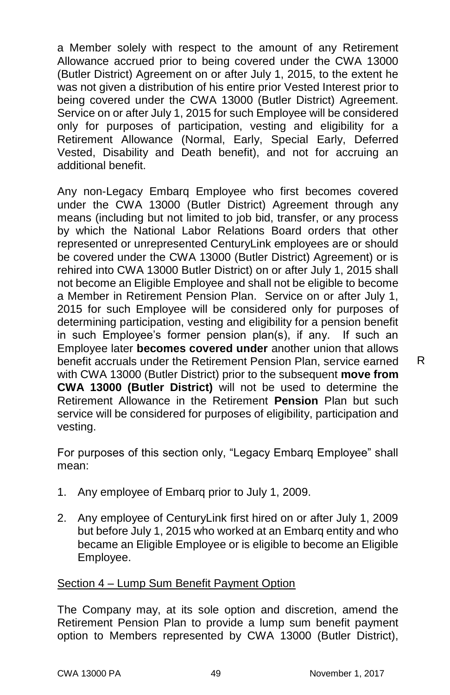a Member solely with respect to the amount of any Retirement Allowance accrued prior to being covered under the CWA 13000 (Butler District) Agreement on or after July 1, 2015, to the extent he was not given a distribution of his entire prior Vested Interest prior to being covered under the CWA 13000 (Butler District) Agreement. Service on or after July 1, 2015 for such Employee will be considered only for purposes of participation, vesting and eligibility for a Retirement Allowance (Normal, Early, Special Early, Deferred Vested, Disability and Death benefit), and not for accruing an additional benefit.

Any non-Legacy Embarq Employee who first becomes covered under the CWA 13000 (Butler District) Agreement through any means (including but not limited to job bid, transfer, or any process by which the National Labor Relations Board orders that other represented or unrepresented CenturyLink employees are or should be covered under the CWA 13000 (Butler District) Agreement) or is rehired into CWA 13000 Butler District) on or after July 1, 2015 shall not become an Eligible Employee and shall not be eligible to become a Member in Retirement Pension Plan. Service on or after July 1, 2015 for such Employee will be considered only for purposes of determining participation, vesting and eligibility for a pension benefit in such Employee's former pension plan(s), if any. If such an Employee later **becomes covered under** another union that allows benefit accruals under the Retirement Pension Plan, service earned with CWA 13000 (Butler District) prior to the subsequent **move from CWA 13000 (Butler District)** will not be used to determine the Retirement Allowance in the Retirement **Pension** Plan but such service will be considered for purposes of eligibility, participation and vesting.

For purposes of this section only, "Legacy Embarq Employee" shall mean:

- 1. Any employee of Embarq prior to July 1, 2009.
- 2. Any employee of CenturyLink first hired on or after July 1, 2009 but before July 1, 2015 who worked at an Embarq entity and who became an Eligible Employee or is eligible to become an Eligible Employee.

#### Section 4 – Lump Sum Benefit Payment Option

The Company may, at its sole option and discretion, amend the Retirement Pension Plan to provide a lump sum benefit payment option to Members represented by CWA 13000 (Butler District),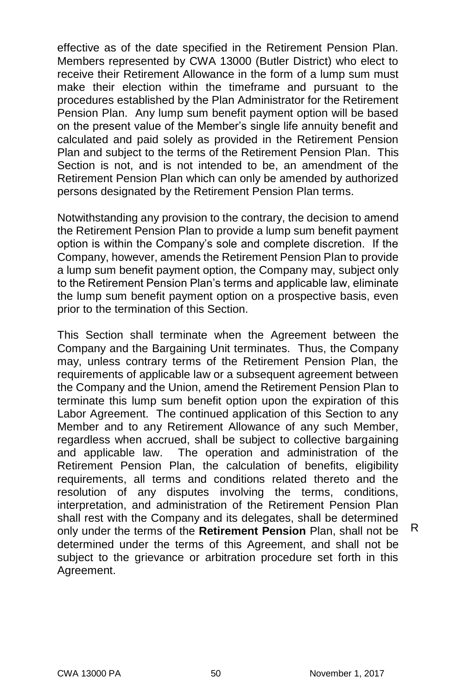effective as of the date specified in the Retirement Pension Plan. Members represented by CWA 13000 (Butler District) who elect to receive their Retirement Allowance in the form of a lump sum must make their election within the timeframe and pursuant to the procedures established by the Plan Administrator for the Retirement Pension Plan. Any lump sum benefit payment option will be based on the present value of the Member's single life annuity benefit and calculated and paid solely as provided in the Retirement Pension Plan and subject to the terms of the Retirement Pension Plan. This Section is not, and is not intended to be, an amendment of the Retirement Pension Plan which can only be amended by authorized persons designated by the Retirement Pension Plan terms.

Notwithstanding any provision to the contrary, the decision to amend the Retirement Pension Plan to provide a lump sum benefit payment option is within the Company's sole and complete discretion. If the Company, however, amends the Retirement Pension Plan to provide a lump sum benefit payment option, the Company may, subject only to the Retirement Pension Plan's terms and applicable law, eliminate the lump sum benefit payment option on a prospective basis, even prior to the termination of this Section.

This Section shall terminate when the Agreement between the Company and the Bargaining Unit terminates. Thus, the Company may, unless contrary terms of the Retirement Pension Plan, the requirements of applicable law or a subsequent agreement between the Company and the Union, amend the Retirement Pension Plan to terminate this lump sum benefit option upon the expiration of this Labor Agreement. The continued application of this Section to any Member and to any Retirement Allowance of any such Member, regardless when accrued, shall be subject to collective bargaining and applicable law. The operation and administration of the Retirement Pension Plan, the calculation of benefits, eligibility requirements, all terms and conditions related thereto and the resolution of any disputes involving the terms, conditions, interpretation, and administration of the Retirement Pension Plan shall rest with the Company and its delegates, shall be determined only under the terms of the **Retirement Pension** Plan, shall not be determined under the terms of this Agreement, and shall not be subject to the grievance or arbitration procedure set forth in this Agreement.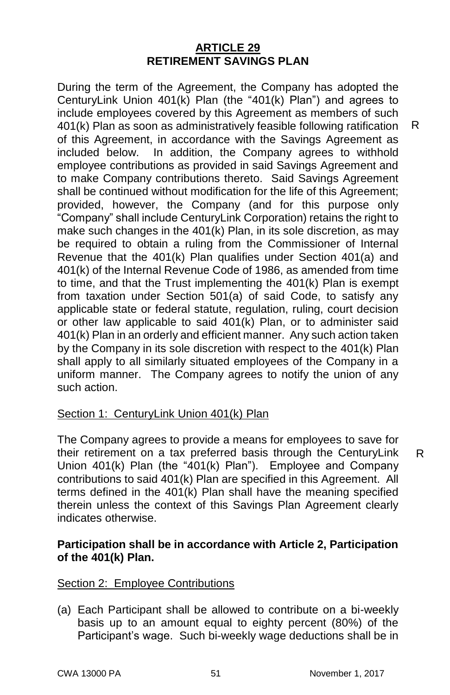#### **ARTICLE 29 RETIREMENT SAVINGS PLAN**

During the term of the Agreement, the Company has adopted the CenturyLink Union 401(k) Plan (the "401(k) Plan") and agrees to include employees covered by this Agreement as members of such 401(k) Plan as soon as administratively feasible following ratification of this Agreement, in accordance with the Savings Agreement as included below. In addition, the Company agrees to withhold employee contributions as provided in said Savings Agreement and to make Company contributions thereto. Said Savings Agreement shall be continued without modification for the life of this Agreement; provided, however, the Company (and for this purpose only "Company" shall include CenturyLink Corporation) retains the right to make such changes in the 401(k) Plan, in its sole discretion, as may be required to obtain a ruling from the Commissioner of Internal Revenue that the 401(k) Plan qualifies under Section 401(a) and 401(k) of the Internal Revenue Code of 1986, as amended from time to time, and that the Trust implementing the 401(k) Plan is exempt from taxation under Section 501(a) of said Code, to satisfy any applicable state or federal statute, regulation, ruling, court decision or other law applicable to said 401(k) Plan, or to administer said 401(k) Plan in an orderly and efficient manner. Any such action taken by the Company in its sole discretion with respect to the 401(k) Plan shall apply to all similarly situated employees of the Company in a uniform manner. The Company agrees to notify the union of any such action.

#### Section 1: CenturyLink Union 401(k) Plan

The Company agrees to provide a means for employees to save for their retirement on a tax preferred basis through the CenturyLink Union 401(k) Plan (the "401(k) Plan"). Employee and Company contributions to said 401(k) Plan are specified in this Agreement. All terms defined in the  $401(k)$  Plan shall have the meaning specified therein unless the context of this Savings Plan Agreement clearly indicates otherwise.

#### **Participation shall be in accordance with Article 2, Participation of the 401(k) Plan.**

#### Section 2: Employee Contributions

(a) Each Participant shall be allowed to contribute on a bi-weekly basis up to an amount equal to eighty percent (80%) of the Participant's wage. Such bi-weekly wage deductions shall be in

R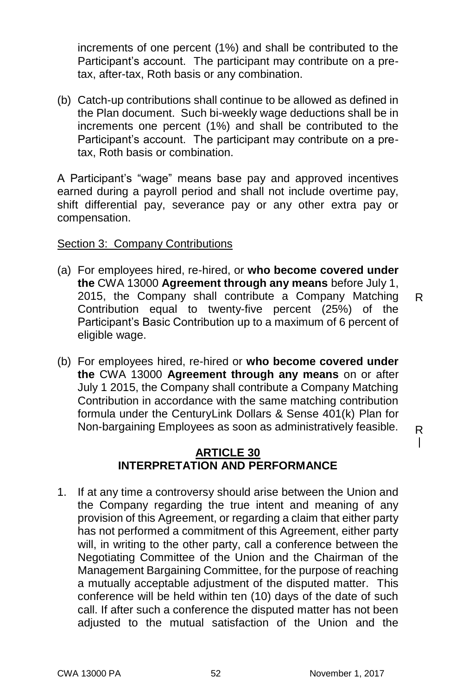increments of one percent (1%) and shall be contributed to the Participant's account. The participant may contribute on a pretax, after-tax, Roth basis or any combination.

(b) Catch-up contributions shall continue to be allowed as defined in the Plan document. Such bi-weekly wage deductions shall be in increments one percent (1%) and shall be contributed to the Participant's account. The participant may contribute on a pretax, Roth basis or combination.

A Participant's "wage" means base pay and approved incentives earned during a payroll period and shall not include overtime pay, shift differential pay, severance pay or any other extra pay or compensation.

#### Section 3: Company Contributions

- (a) For employees hired, re-hired, or **who become covered under the** CWA 13000 **Agreement through any means** before July 1, 2015, the Company shall contribute a Company Matching Contribution equal to twenty-five percent (25%) of the Participant's Basic Contribution up to a maximum of 6 percent of eligible wage. R
- (b) For employees hired, re-hired or **who become covered under the** CWA 13000 **Agreement through any means** on or after July 1 2015, the Company shall contribute a Company Matching Contribution in accordance with the same matching contribution formula under the CenturyLink Dollars & Sense 401(k) Plan for Non-bargaining Employees as soon as administratively feasible.

#### **ARTICLE 30 INTERPRETATION AND PERFORMANCE**

1. If at any time a controversy should arise between the Union and the Company regarding the true intent and meaning of any provision of this Agreement, or regarding a claim that either party has not performed a commitment of this Agreement, either party will, in writing to the other party, call a conference between the Negotiating Committee of the Union and the Chairman of the Management Bargaining Committee, for the purpose of reaching a mutually acceptable adjustment of the disputed matter. This conference will be held within ten (10) days of the date of such call. If after such a conference the disputed matter has not been adjusted to the mutual satisfaction of the Union and the

R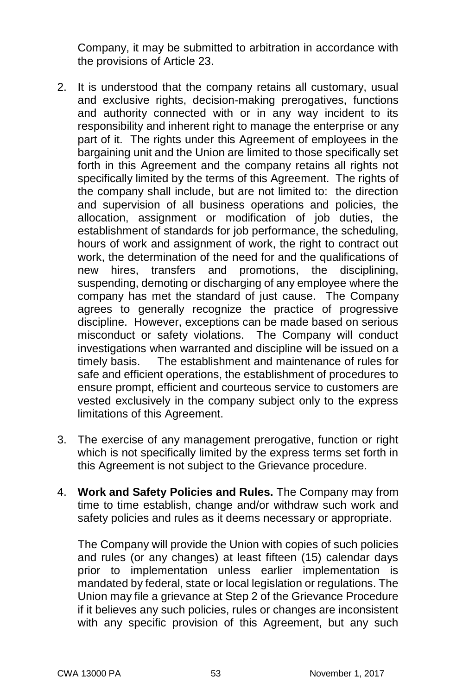Company, it may be submitted to arbitration in accordance with the provisions of Article 23.

- 2. It is understood that the company retains all customary, usual and exclusive rights, decision-making prerogatives, functions and authority connected with or in any way incident to its responsibility and inherent right to manage the enterprise or any part of it. The rights under this Agreement of employees in the bargaining unit and the Union are limited to those specifically set forth in this Agreement and the company retains all rights not specifically limited by the terms of this Agreement. The rights of the company shall include, but are not limited to: the direction and supervision of all business operations and policies, the allocation, assignment or modification of job duties, the establishment of standards for job performance, the scheduling, hours of work and assignment of work, the right to contract out work, the determination of the need for and the qualifications of new hires, transfers and promotions, the disciplining, suspending, demoting or discharging of any employee where the company has met the standard of just cause. The Company agrees to generally recognize the practice of progressive discipline. However, exceptions can be made based on serious misconduct or safety violations. The Company will conduct investigations when warranted and discipline will be issued on a timely basis.The establishment and maintenance of rules for safe and efficient operations, the establishment of procedures to ensure prompt, efficient and courteous service to customers are vested exclusively in the company subject only to the express limitations of this Agreement.
- 3. The exercise of any management prerogative, function or right which is not specifically limited by the express terms set forth in this Agreement is not subject to the Grievance procedure.
- 4. **Work and Safety Policies and Rules.** The Company may from time to time establish, change and/or withdraw such work and safety policies and rules as it deems necessary or appropriate.

The Company will provide the Union with copies of such policies and rules (or any changes) at least fifteen (15) calendar days prior to implementation unless earlier implementation is mandated by federal, state or local legislation or regulations. The Union may file a grievance at Step 2 of the Grievance Procedure if it believes any such policies, rules or changes are inconsistent with any specific provision of this Agreement, but any such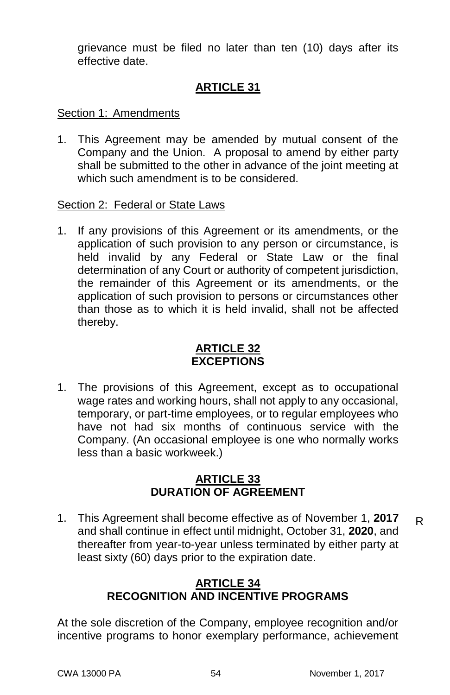grievance must be filed no later than ten (10) days after its effective date.

#### **ARTICLE 31**

#### Section 1: Amendments

1. This Agreement may be amended by mutual consent of the Company and the Union. A proposal to amend by either party shall be submitted to the other in advance of the joint meeting at which such amendment is to be considered.

#### Section 2: Federal or State Laws

1. If any provisions of this Agreement or its amendments, or the application of such provision to any person or circumstance, is held invalid by any Federal or State Law or the final determination of any Court or authority of competent jurisdiction, the remainder of this Agreement or its amendments, or the application of such provision to persons or circumstances other than those as to which it is held invalid, shall not be affected thereby.

#### **ARTICLE 32 EXCEPTIONS**

1. The provisions of this Agreement, except as to occupational wage rates and working hours, shall not apply to any occasional, temporary, or part-time employees, or to regular employees who have not had six months of continuous service with the Company. (An occasional employee is one who normally works less than a basic workweek.)

#### **ARTICLE 33 DURATION OF AGREEMENT**

1. This Agreement shall become effective as of November 1, **2017** and shall continue in effect until midnight, October 31, **2020**, and thereafter from year-to-year unless terminated by either party at least sixty (60) days prior to the expiration date. R

#### **ARTICLE 34 RECOGNITION AND INCENTIVE PROGRAMS**

At the sole discretion of the Company, employee recognition and/or incentive programs to honor exemplary performance, achievement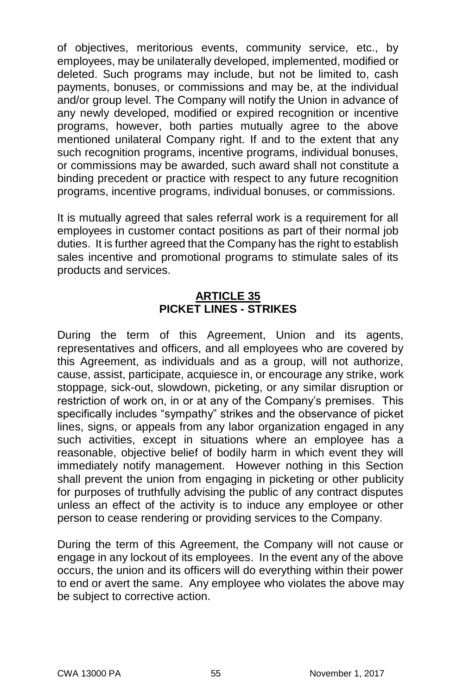of objectives, meritorious events, community service, etc., by employees, may be unilaterally developed, implemented, modified or deleted. Such programs may include, but not be limited to, cash payments, bonuses, or commissions and may be, at the individual and/or group level. The Company will notify the Union in advance of any newly developed, modified or expired recognition or incentive programs, however, both parties mutually agree to the above mentioned unilateral Company right. If and to the extent that any such recognition programs, incentive programs, individual bonuses, or commissions may be awarded, such award shall not constitute a binding precedent or practice with respect to any future recognition programs, incentive programs, individual bonuses, or commissions.

It is mutually agreed that sales referral work is a requirement for all employees in customer contact positions as part of their normal job duties. It is further agreed that the Company has the right to establish sales incentive and promotional programs to stimulate sales of its products and services.

#### **ARTICLE 35 PICKET LINES - STRIKES**

During the term of this Agreement, Union and its agents, representatives and officers, and all employees who are covered by this Agreement, as individuals and as a group, will not authorize, cause, assist, participate, acquiesce in, or encourage any strike, work stoppage, sick-out, slowdown, picketing, or any similar disruption or restriction of work on, in or at any of the Company's premises. This specifically includes "sympathy" strikes and the observance of picket lines, signs, or appeals from any labor organization engaged in any such activities, except in situations where an employee has a reasonable, objective belief of bodily harm in which event they will immediately notify management. However nothing in this Section shall prevent the union from engaging in picketing or other publicity for purposes of truthfully advising the public of any contract disputes unless an effect of the activity is to induce any employee or other person to cease rendering or providing services to the Company.

During the term of this Agreement, the Company will not cause or engage in any lockout of its employees. In the event any of the above occurs, the union and its officers will do everything within their power to end or avert the same. Any employee who violates the above may be subject to corrective action.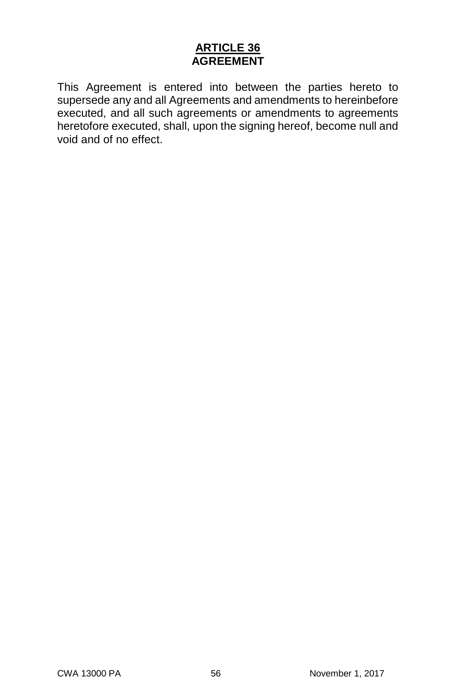#### **ARTICLE 36 AGREEMENT**

This Agreement is entered into between the parties hereto to supersede any and all Agreements and amendments to hereinbefore executed, and all such agreements or amendments to agreements heretofore executed, shall, upon the signing hereof, become null and void and of no effect.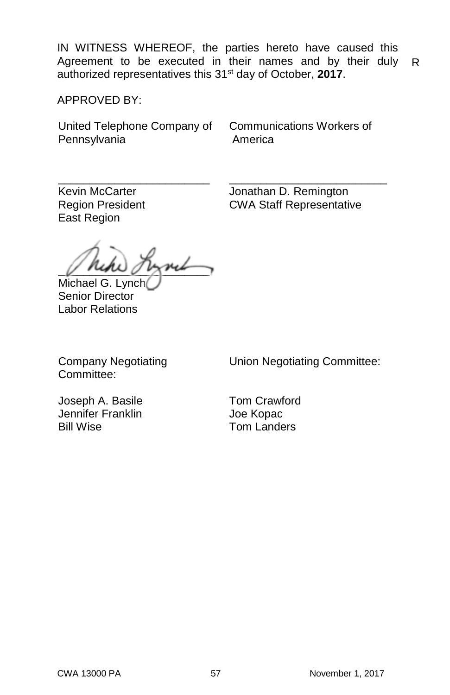IN WITNESS WHEREOF, the parties hereto have caused this Agreement to be executed in their names and by their duly authorized representatives this 31st day of October, **2017**. R

APPROVED BY:

United Telephone Company of **Pennsylvania** 

Communications Workers of America

\_\_\_\_\_\_\_\_\_\_\_\_\_\_\_\_\_\_\_\_\_\_\_\_ Kevin McCarter Region President East Region

\_\_\_\_\_\_\_\_\_\_\_\_\_\_\_\_\_\_\_\_\_\_\_\_\_ Jonathan D. Remington CWA Staff Representative

 $\sqrt{N}$ Michael G. Lynch

Senior Director Labor Relations

Company Negotiating Committee:

Union Negotiating Committee:

Joseph A. Basile Jennifer Franklin Bill Wise

Tom Crawford Joe Kopac Tom Landers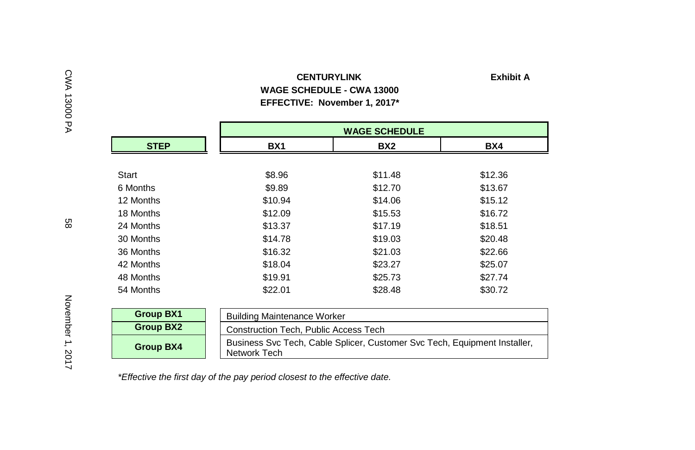#### **CENTURYLINK Exhibit A WAGE SCHEDULE - CWA 13000 EFFECTIVE: November 1, 2017\***

|                  |                                              | <b>WAGE SCHEDULE</b>                                                      |         |  |  |  |  |  |
|------------------|----------------------------------------------|---------------------------------------------------------------------------|---------|--|--|--|--|--|
| <b>STEP</b>      | BX <sub>1</sub>                              | BX <sub>2</sub>                                                           | BX4     |  |  |  |  |  |
|                  |                                              |                                                                           |         |  |  |  |  |  |
| Start            | \$8.96                                       | \$11.48                                                                   | \$12.36 |  |  |  |  |  |
| 6 Months         | \$9.89                                       | \$12.70                                                                   | \$13.67 |  |  |  |  |  |
| 12 Months        | \$10.94                                      | \$14.06                                                                   | \$15.12 |  |  |  |  |  |
| 18 Months        | \$12.09                                      | \$15.53                                                                   | \$16.72 |  |  |  |  |  |
| 24 Months        | \$13.37                                      | \$17.19                                                                   | \$18.51 |  |  |  |  |  |
| 30 Months        | \$14.78                                      | \$19.03                                                                   | \$20.48 |  |  |  |  |  |
| 36 Months        | \$16.32                                      | \$21.03                                                                   | \$22.66 |  |  |  |  |  |
| 42 Months        | \$18.04                                      | \$23.27                                                                   | \$25.07 |  |  |  |  |  |
| 48 Months        | \$19.91                                      | \$25.73                                                                   | \$27.74 |  |  |  |  |  |
| 54 Months        | \$22.01                                      | \$28.48                                                                   | \$30.72 |  |  |  |  |  |
|                  |                                              |                                                                           |         |  |  |  |  |  |
| <b>Group BX1</b> |                                              | <b>Building Maintenance Worker</b>                                        |         |  |  |  |  |  |
| <b>Group BX2</b> | <b>Construction Tech, Public Access Tech</b> |                                                                           |         |  |  |  |  |  |
| <b>Group BX4</b> | Network Tech                                 | Business Svc Tech, Cable Splicer, Customer Svc Tech, Equipment Installer, |         |  |  |  |  |  |

*\*Effective the first day of the pay period closest to the effective date.*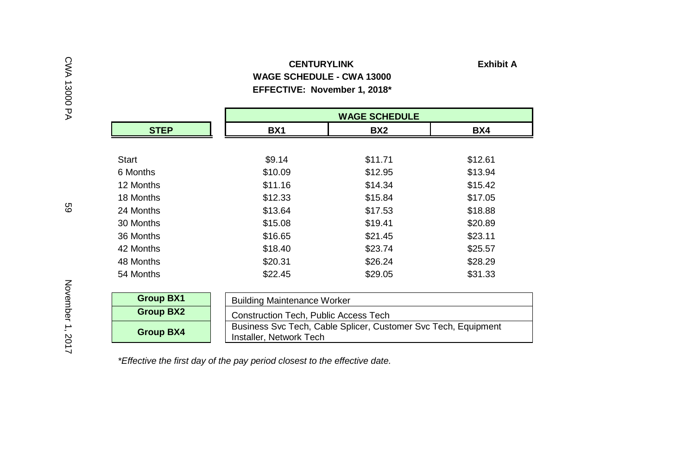#### **CENTURYLINK Exhibit A WAGE SCHEDULE - CWA 13000 EFFECTIVE: November 1, 2018\***

|                  |                                              | <b>WAGE SCHEDULE</b>                                           |         |  |  |  |  |
|------------------|----------------------------------------------|----------------------------------------------------------------|---------|--|--|--|--|
| <b>STEP</b>      | BX <sub>1</sub>                              | BX2                                                            | BX4     |  |  |  |  |
|                  |                                              |                                                                |         |  |  |  |  |
| Start            | \$9.14                                       | \$11.71                                                        | \$12.61 |  |  |  |  |
| 6 Months         | \$10.09                                      | \$12.95                                                        | \$13.94 |  |  |  |  |
| 12 Months        | \$11.16                                      | \$14.34                                                        | \$15.42 |  |  |  |  |
| 18 Months        | \$12.33                                      | \$15.84                                                        | \$17.05 |  |  |  |  |
| 24 Months        | \$13.64                                      | \$17.53                                                        | \$18.88 |  |  |  |  |
| 30 Months        | \$15.08                                      | \$19.41                                                        | \$20.89 |  |  |  |  |
| 36 Months        | \$16.65                                      | \$21.45                                                        | \$23.11 |  |  |  |  |
| 42 Months        | \$18.40                                      | \$23.74                                                        | \$25.57 |  |  |  |  |
| 48 Months        | \$20.31                                      | \$26.24                                                        | \$28.29 |  |  |  |  |
| 54 Months        | \$22.45                                      | \$29.05                                                        | \$31.33 |  |  |  |  |
|                  |                                              |                                                                |         |  |  |  |  |
| <b>Group BX1</b> |                                              | <b>Building Maintenance Worker</b>                             |         |  |  |  |  |
| <b>Group BX2</b> | <b>Construction Tech, Public Access Tech</b> |                                                                |         |  |  |  |  |
| <b>Group BX4</b> | Installer, Network Tech                      | Business Svc Tech, Cable Splicer, Customer Svc Tech, Equipment |         |  |  |  |  |

*\*Effective the first day of the pay period closest to the effective date.*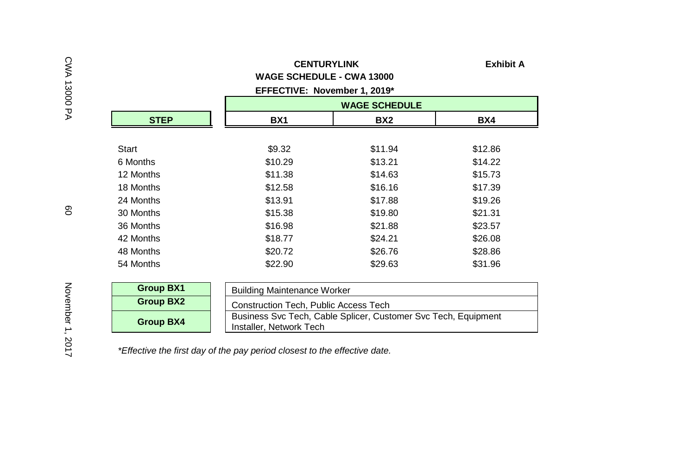|             | <b>CENTURYLINK</b><br><b>WAGE SCHEDULE - CWA 13000</b><br>EFFECTIVE: November 1, 2019* |                      | <b>Exhibit A</b> |
|-------------|----------------------------------------------------------------------------------------|----------------------|------------------|
|             |                                                                                        | <b>WAGE SCHEDULE</b> |                  |
| <b>STEP</b> | <b>BX1</b>                                                                             | BX2                  | BX4              |
| Start       | \$9.32                                                                                 | \$11.94              | \$12.86          |
| 6 Months    | \$10.29                                                                                | \$13.21              | \$14.22          |
| 12 Months   | \$11.38                                                                                | \$14.63              | \$15.73          |
| 18 Months   | \$12.58                                                                                | \$16.16              | \$17.39          |
| 24 Months   | \$13.91                                                                                | \$17.88              | \$19.26          |
| 30 Months   | \$15.38                                                                                | \$19.80              | \$21.31          |
| 36 Months   | \$16.98                                                                                | \$21.88              | \$23.57          |
| 42 Months   | \$18.77                                                                                | \$24.21              | \$26.08          |
| 48 Months   | \$20.72                                                                                | \$26.76              | \$28.86          |
| 54 Months   | \$22.90                                                                                | \$29.63              | \$31.96          |

| <b>Group BX1</b> | <b>Building Maintenance Worker</b>                                                        |
|------------------|-------------------------------------------------------------------------------------------|
| Group BX2        | Construction Tech, Public Access Tech                                                     |
| <b>Group BX4</b> | Business Svc Tech, Cable Splicer, Customer Svc Tech, Equipment<br>Installer, Network Tech |

*\*Effective the first day of the pay period closest to the effective date.*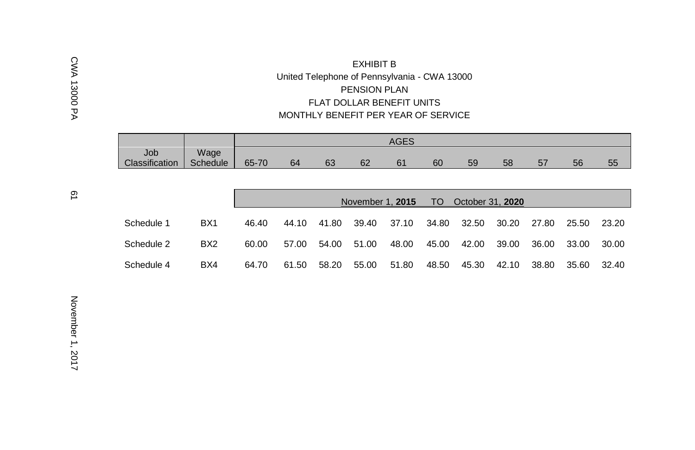#### EXHIBIT B United Telephone of Pennsylvania - CWA 13000 PENSION PLAN FLAT DOLLAR BENEFIT UNITS MONTHLY BENEFIT PER YEAR OF SERVICE

|                |          |       |    |    |    | <b>AGES</b> |    |    |    |         |    |    |
|----------------|----------|-------|----|----|----|-------------|----|----|----|---------|----|----|
| Job            | Wage     |       |    |    |    |             |    |    |    |         |    |    |
| Classification | Schedule | 65-70 | 64 | 63 | 62 | 61          | 60 | 59 | 58 | 57<br>ິ | 56 | 55 |

|            |                 |       |       |       | November 1, 2015 |       | TO T  | October 31, 2020 |       |       |       |       |
|------------|-----------------|-------|-------|-------|------------------|-------|-------|------------------|-------|-------|-------|-------|
| Schedule 1 | BX <sub>1</sub> | 46.40 | 44.10 | 41.80 | 39.40            | 37.10 | 34.80 | 32.50            | 30.20 | 27.80 | 25.50 | 23.20 |
| Schedule 2 | BX <sub>2</sub> | 60.00 | 57.00 | 54.00 | 51.00            | 48.00 | 45.00 | 42.00            | 39.00 | 36.00 | 33.00 | 30.00 |
| Schedule 4 | BX4             | 64.70 | 61.50 | 58.20 | 55.00            | 51.80 | 48.50 | 45.30            | 42.10 | 38.80 | 35.60 | 32.40 |

CWA 13000 PA

CWA 13000 PA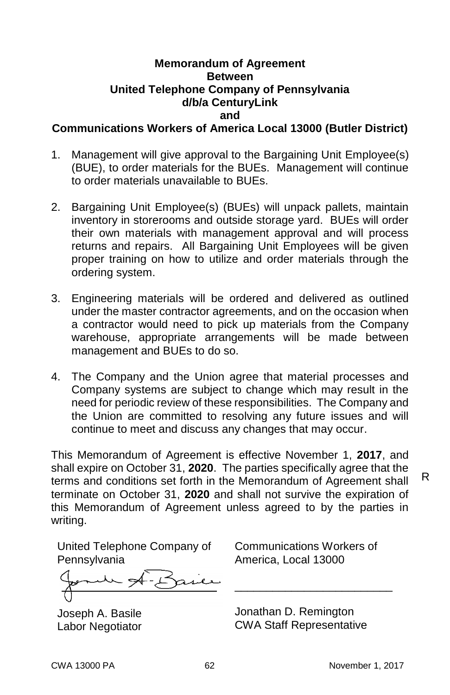#### **Memorandum of Agreement Between United Telephone Company of Pennsylvania d/b/a CenturyLink and**

**Communications Workers of America Local 13000 (Butler District)**

- 1. Management will give approval to the Bargaining Unit Employee(s) (BUE), to order materials for the BUEs. Management will continue to order materials unavailable to BUEs.
- 2. Bargaining Unit Employee(s) (BUEs) will unpack pallets, maintain inventory in storerooms and outside storage yard. BUEs will order their own materials with management approval and will process returns and repairs. All Bargaining Unit Employees will be given proper training on how to utilize and order materials through the ordering system.
- 3. Engineering materials will be ordered and delivered as outlined under the master contractor agreements, and on the occasion when a contractor would need to pick up materials from the Company warehouse, appropriate arrangements will be made between management and BUEs to do so.
- 4. The Company and the Union agree that material processes and Company systems are subject to change which may result in the need for periodic review of these responsibilities. The Company and the Union are committed to resolving any future issues and will continue to meet and discuss any changes that may occur.

This Memorandum of Agreement is effective November 1, **2017**, and shall expire on October 31, **2020**. The parties specifically agree that the terms and conditions set forth in the Memorandum of Agreement shall terminate on October 31, **2020** and shall not survive the expiration of this Memorandum of Agreement unless agreed to by the parties in writing.

United Telephone Company of **Pennsylvania** 

former of-B

Joseph A. Basile Labor Negotiator

Communications Workers of America, Local 13000

\_\_\_\_\_\_\_\_\_\_\_\_\_\_\_\_\_\_\_\_\_\_\_\_\_

Jonathan D. Remington CWA Staff Representative R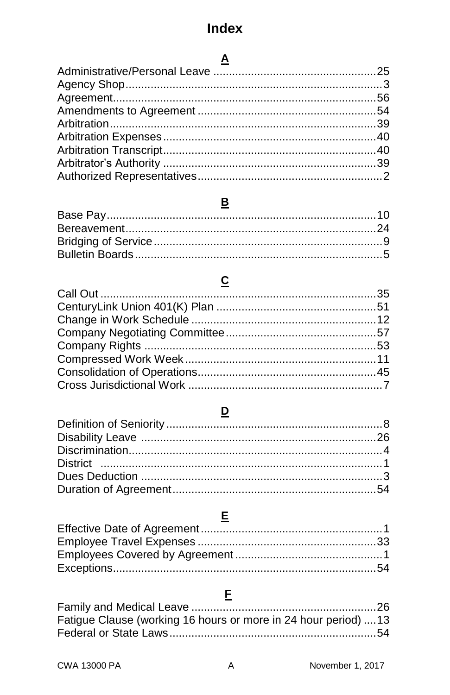# $\Delta$

## $\underline{\mathbf{B}}$

# $\underline{\mathbf{c}}$

### $\overline{\mathbf{D}}$

### $E$

# $E$

| Fatigue Clause (working 16 hours or more in 24 hour period) 13 |  |
|----------------------------------------------------------------|--|
|                                                                |  |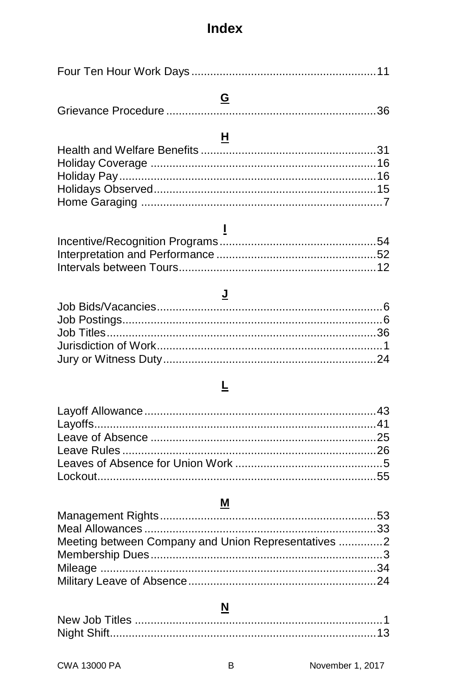#### $\overline{G}$

# $H$

# $\overline{1}$

### $\underline{\mathsf{J}}$

#### $\overline{\mathsf{r}}$

### M

| Meeting between Company and Union Representatives 2 |  |
|-----------------------------------------------------|--|
|                                                     |  |
|                                                     |  |
|                                                     |  |

#### $\overline{\mathbf{N}}$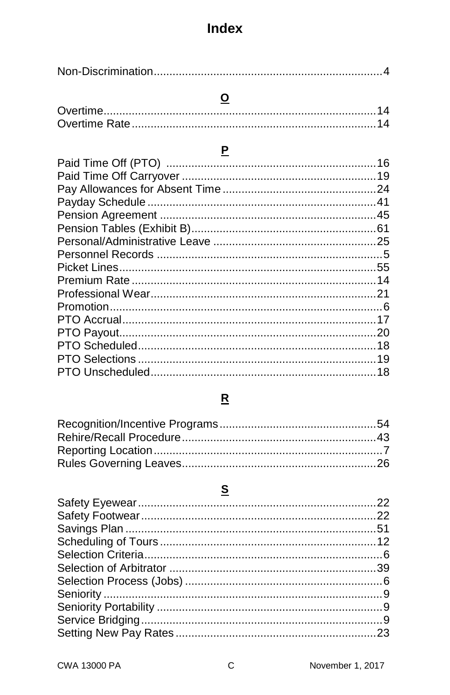# $\overline{\mathbf{o}}$

# P

### $\underline{\mathbf{R}}$

# $\mathbf{s}$